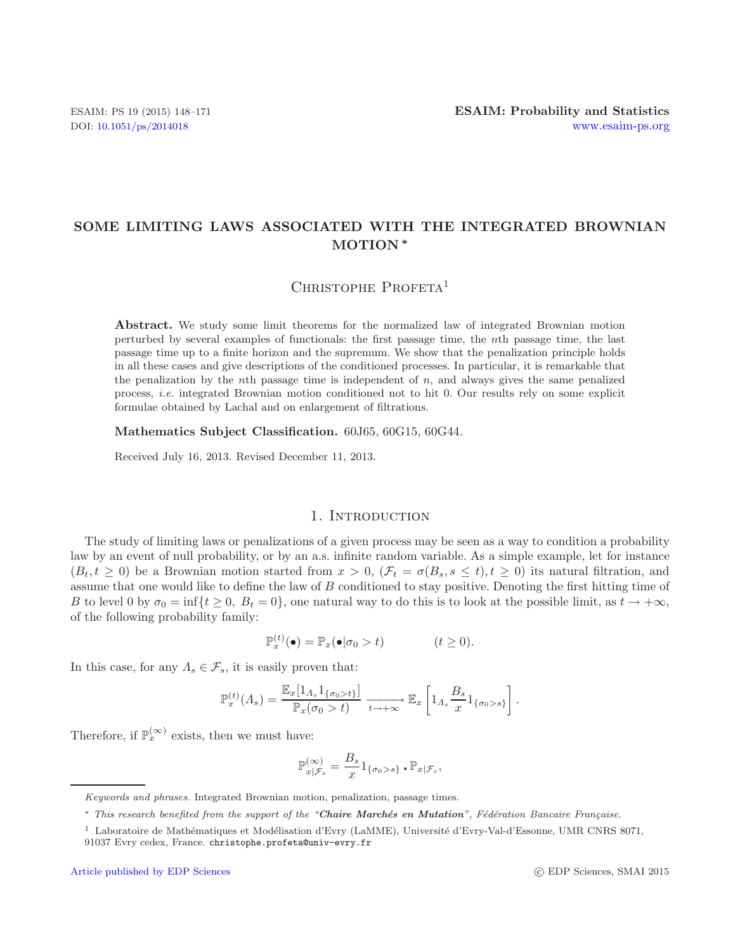# **SOME LIMITING LAWS ASSOCIATED WITH THE INTEGRATED BROWNIAN MOTION** *∗*

CHRISTOPHE PROFETA<sup>1</sup>

**Abstract.** We study some limit theorems for the normalized law of integrated Brownian motion perturbed by several examples of functionals: the first passage time, the *n*th passage time, the last passage time up to a finite horizon and the supremum. We show that the penalization principle holds in all these cases and give descriptions of the conditioned processes. In particular, it is remarkable that the penalization by the *n*th passage time is independent of  $n$ , and always gives the same penalized process, *i.e.* integrated Brownian motion conditioned not to hit 0. Our results rely on some explicit formulae obtained by Lachal and on enlargement of filtrations.

**Mathematics Subject Classification.** 60J65, 60G15, 60G44.

Received July 16, 2013. Revised December 11, 2013.

## 1. INTRODUCTION

The study of limiting laws or penalizations of a given process may be seen as a way to condition a probability law by an event of null probability, or by an a.s. infinite random variable. As a simple example, let for instance  $(B_t, t \geq 0)$  be a Brownian motion started from  $x > 0$ ,  $(\mathcal{F}_t = \sigma(B_s, s \leq t), t \geq 0)$  its natural filtration, and assume that one would like to define the law of  $B$  conditioned to stay positive. Denoting the first hitting time of B to level 0 by  $\sigma_0 = \inf\{t \geq 0, B_t = 0\}$ , one natural way to do this is to look at the possible limit, as  $t \to +\infty$ , of the following probability family:

$$
\mathbb{P}_x^{(t)}(\bullet) = \mathbb{P}_x(\bullet|\sigma_0 > t) \qquad (t \ge 0).
$$

In this case, for any  $\Lambda_s \in \mathcal{F}_s$ , it is easily proven that:

$$
\mathbb{P}_x^{(t)}(\Lambda_s) = \frac{\mathbb{E}_x[1_{\Lambda_s}1_{\{\sigma_0 > t\}}]}{\mathbb{P}_x(\sigma_0 > t)} \xrightarrow[t \to +\infty]{} \mathbb{E}_x \left[1_{\Lambda_s} \frac{B_s}{x} 1_{\{\sigma_0 > s\}}\right].
$$

Therefore, if  $\mathbb{P}_x^{(\infty)}$  exists, then we must have:

$$
\mathbb{P}^{(\infty)}_{x|\mathcal{F}_s} = \frac{B_s}{x} 1_{\{\sigma_0 > s\}} \cdot \mathbb{P}_{x|\mathcal{F}_s},
$$

*Keywords and phrases.* Integrated Brownian motion, penalization, passage times.

<sup>\*</sup> *This research benefited from the support of the "Chaire Marchés en Mutation", Fédération Bancaire Française.* 

 $1$  Laboratoire de Mathématiques et Modélisation d'Evry (LaMME), Université d'Evry-Val-d'Essonne, UMR CNRS 8071, 91037 Evry cedex, France. christophe.profeta@univ-evry.fr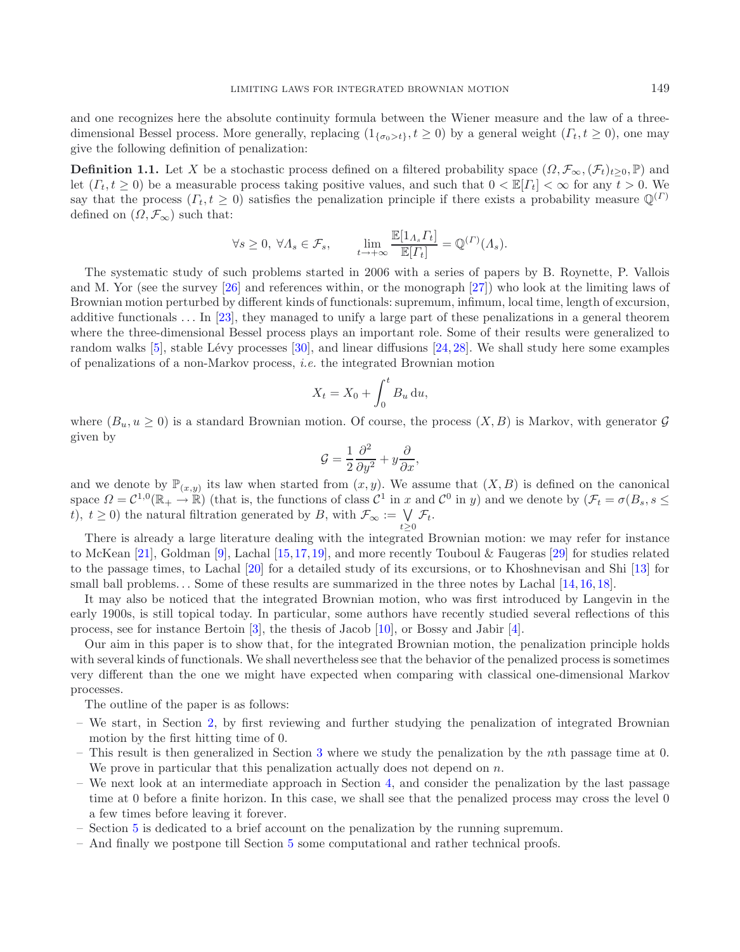and one recognizes here the absolute continuity formula between the Wiener measure and the law of a threedimensional Bessel process. More generally, replacing  $(1_{\{\sigma_0>t\}}, t \ge 0)$  by a general weight  $(T_t, t \ge 0)$ , one may give the following definition of penalization:

**Definition 1.1.** Let X be a stochastic process defined on a filtered probability space  $(\Omega, \mathcal{F}_{\infty}, (\mathcal{F}_{t})_{t\geq0}, \mathbb{P})$  and let  $(\Gamma_t, t \geq 0)$  be a measurable process taking positive values, and such that  $0 < \mathbb{E}[\Gamma_t] < \infty$  for any  $t > 0$ . We say that the process  $(\Gamma_t, t \geq 0)$  satisfies the penalization principle if there exists a probability measure  $\mathbb{Q}^{(\Gamma)}$ defined on  $(\Omega, \mathcal{F}_{\infty})$  such that:

$$
\forall s \ge 0, \ \forall \Lambda_s \in \mathcal{F}_s, \qquad \lim_{t \to +\infty} \frac{\mathbb{E}[1_{\Lambda_s} \Gamma_t]}{\mathbb{E}[\Gamma_t]} = \mathbb{Q}^{(I)}(\Lambda_s).
$$

The systematic study of such problems started in 2006 with a series of papers by B. Roynette, P. Vallois and M. Yor (see the survey [\[26](#page-23-0)] and references within, or the monograph [\[27](#page-23-1)]) who look at the limiting laws of Brownian motion perturbed by different kinds of functionals: supremum, infimum, local time, length of excursion, additive functionals ... In [\[23\]](#page-23-2), they managed to unify a large part of these penalizations in a general theorem where the three-dimensional Bessel process plays an important role. Some of their results were generalized to random walks [\[5\]](#page-22-0), stable Lévy processes  $[30]$  $[30]$ , and linear diffusions  $[24, 28]$  $[24, 28]$  $[24, 28]$ . We shall study here some examples of penalizations of a non-Markov process, *i.e.* the integrated Brownian motion

$$
X_t = X_0 + \int_0^t B_u \, \mathrm{d}u,
$$

where  $(B_u, u \ge 0)$  is a standard Brownian motion. Of course, the process  $(X, B)$  is Markov, with generator G given by

$$
\mathcal{G} = \frac{1}{2} \frac{\partial^2}{\partial y^2} + y \frac{\partial}{\partial x},
$$

and we denote by  $\mathbb{P}_{(x,y)}$  its law when started from  $(x, y)$ . We assume that  $(X, B)$  is defined on the canonical space  $\Omega = \mathcal{C}^{1,0}(\mathbb{R}_+ \to \mathbb{R})$  (that is, the functions of class  $\mathcal{C}^1$  in x and  $\mathcal{C}^0$  in y) and we denote by  $(\mathcal{F}_t = \sigma(B_s, s \leq t))$ t),  $t \geq 0$ ) the natural filtration generated by B, with  $\mathcal{F}_{\infty} := \bigvee_{t \geq 0} \mathcal{F}_t$ .

t≥<sup>0</sup> There is already a large literature dealing with the integrated Brownian motion: we may refer for instance to McKean [\[21\]](#page-23-6), Goldman [\[9](#page-22-1)], Lachal [\[15](#page-23-7),[17](#page-23-8),[19\]](#page-23-9), and more recently Touboul & Faugeras [\[29\]](#page-23-10) for studies related to the passage times, to Lachal [\[20\]](#page-23-11) for a detailed study of its excursions, or to Khoshnevisan and Shi [\[13](#page-23-12)] for small ball problems... Some of these results are summarized in the three notes by Lachal [\[14,](#page-23-13) [16,](#page-23-14) [18\]](#page-23-15).

It may also be noticed that the integrated Brownian motion, who was first introduced by Langevin in the early 1900s, is still topical today. In particular, some authors have recently studied several reflections of this process, see for instance Bertoin [\[3](#page-22-2)], the thesis of Jacob [\[10](#page-23-16)], or Bossy and Jabir [\[4\]](#page-22-3).

Our aim in this paper is to show that, for the integrated Brownian motion, the penalization principle holds with several kinds of functionals. We shall nevertheless see that the behavior of the penalized process is sometimes very different than the one we might have expected when comparing with classical one-dimensional Markov processes.

The outline of the paper is as follows:

- We start, in Section [2,](#page-2-0) by first reviewing and further studying the penalization of integrated Brownian motion by the first hitting time of 0.
- This result is then generalized in Section [3](#page-9-0) where we study the penalization by the nth passage time at 0. We prove in particular that this penalization actually does not depend on  $n$ .
- We next look at an intermediate approach in Section [4,](#page-11-0) and consider the penalization by the last passage time at 0 before a finite horizon. In this case, we shall see that the penalized process may cross the level 0 a few times before leaving it forever.
- Section [5](#page-16-0) is dedicated to a brief account on the penalization by the running supremum.
- And finally we postpone till Section [5](#page-18-0) some computational and rather technical proofs.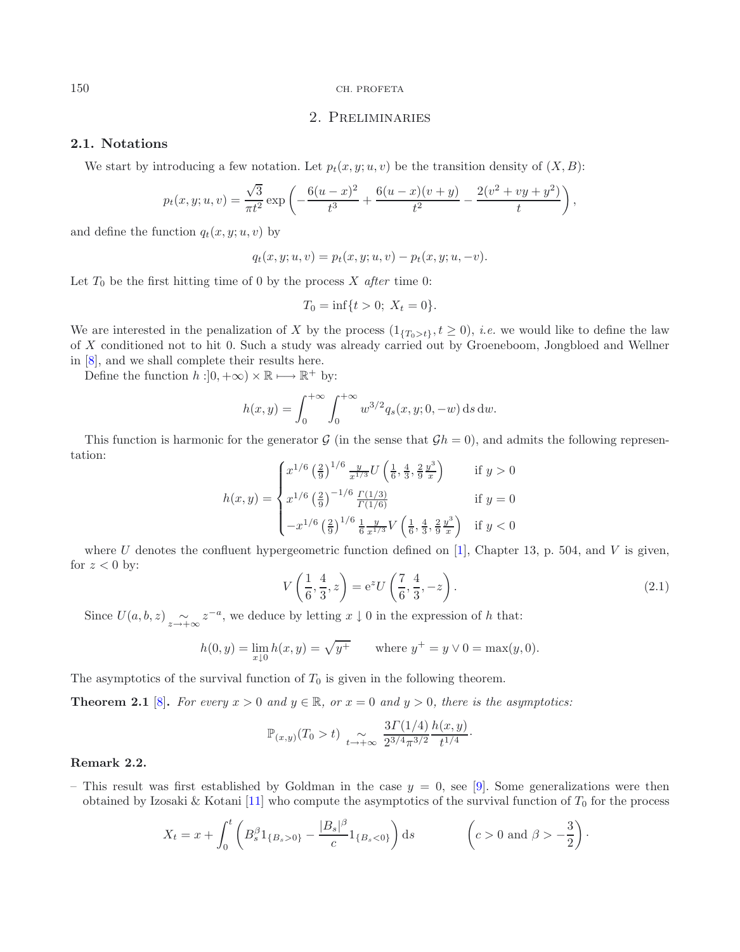# 2. Preliminaries

# <span id="page-2-0"></span>**2.1. Notations**

We start by introducing a few notation. Let  $p_t(x, y; u, v)$  be the transition density of  $(X, B)$ :

$$
p_t(x, y; u, v) = \frac{\sqrt{3}}{\pi t^2} \exp \left(-\frac{6(u - x)^2}{t^3} + \frac{6(u - x)(v + y)}{t^2} - \frac{2(v^2 + vy + y^2)}{t}\right),
$$

and define the function  $q_t(x, y; u, v)$  by

$$
q_t(x, y; u, v) = p_t(x, y; u, v) - p_t(x, y; u, -v).
$$

Let  $T_0$  be the first hitting time of 0 by the process  $X$  *after* time 0:

$$
T_0 = \inf\{t > 0; \ X_t = 0\}.
$$

We are interested in the penalization of X by the process  $(1_{\{T_0>t\}}, t \geq 0)$ , *i.e.* we would like to define the law of X conditioned not to hit 0. Such a study was already carried out by Groeneboom, Jongbloed and Wellner in [\[8](#page-22-4)], and we shall complete their results here.

Define the function  $h : ]0, +\infty) \times \mathbb{R} \longmapsto \mathbb{R}^+$  by:

$$
h(x,y) = \int_0^{+\infty} \int_0^{+\infty} w^{3/2} q_s(x,y; 0, -w) \, ds \, dw.
$$

This function is harmonic for the generator G (in the sense that  $\mathcal{G}h = 0$ ), and admits the following representation:  $\sim$ 

$$
h(x,y) = \begin{cases} x^{1/6} \left(\frac{2}{9}\right)^{1/6} \frac{y}{x^{1/3}} U\left(\frac{1}{6}, \frac{4}{3}, \frac{2}{9} \frac{y^3}{x}\right) & \text{if } y > 0\\ x^{1/6} \left(\frac{2}{9}\right)^{-1/6} \frac{\Gamma(1/3)}{\Gamma(1/6)} & \text{if } y = 0\\ -x^{1/6} \left(\frac{2}{9}\right)^{1/6} \frac{1}{6} \frac{y}{x^{1/3}} V\left(\frac{1}{6}, \frac{4}{3}, \frac{2}{9} \frac{y^3}{x}\right) & \text{if } y < 0 \end{cases}
$$

where U denotes the confluent hypergeometric function defined on [\[1\]](#page-22-5), Chapter 13, p. 504, and V is given, for  $z < 0$  by:

$$
V\left(\frac{1}{6}, \frac{4}{3}, z\right) = e^z U\left(\frac{7}{6}, \frac{4}{3}, -z\right). \tag{2.1}
$$

Since  $U(a, b, z)$   $\underset{z \to +\infty}{\sim} z^{-a}$ , we deduce by letting  $x \downarrow 0$  in the expression of h that:

$$
h(0, y) = \lim_{x \downarrow 0} h(x, y) = \sqrt{y^+} \quad \text{where } y^+ = y \lor 0 = \max(y, 0).
$$

<span id="page-2-1"></span>The asymptotics of the survival function of  $T_0$  is given in the following theorem.

**Theorem 2.1** [\[8](#page-22-4)]. For every  $x > 0$  and  $y \in \mathbb{R}$ , or  $x = 0$  and  $y > 0$ , there is the asymptotics:

$$
\mathbb{P}_{(x,y)}(T_0 > t) \underset{t \to +\infty}{\sim} \frac{3\Gamma(1/4)}{2^{3/4}\pi^{3/2}} \frac{h(x,y)}{t^{1/4}}.
$$

## **Remark 2.2.**

– This result was first established by Goldman in the case  $y = 0$ , see [\[9](#page-22-1)]. Some generalizations were then obtained by Izosaki & Kotani [\[11\]](#page-23-17) who compute the asymptotics of the survival function of  $T_0$  for the process

$$
X_t = x + \int_0^t \left( B_s^{\beta} 1_{\{B_s > 0\}} - \frac{|B_s|^{\beta}}{c} 1_{\{B_s < 0\}} \right) ds \qquad \left( c > 0 \text{ and } \beta > -\frac{3}{2} \right).
$$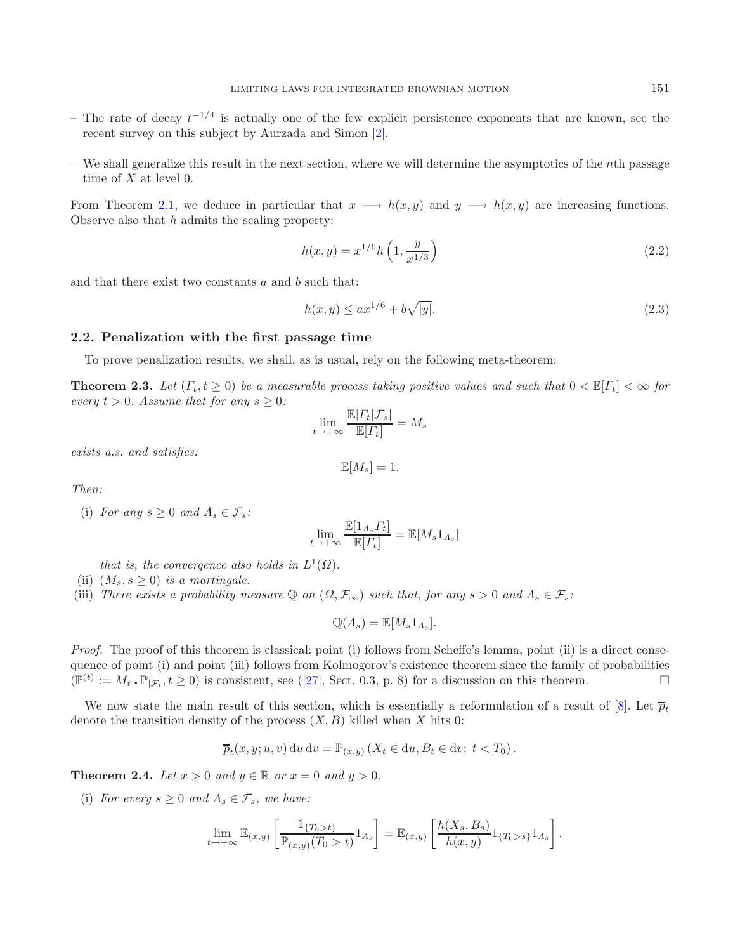- $-$  The rate of decay  $t^{-1/4}$  is actually one of the few explicit persistence exponents that are known, see the recent survey on this subject by Aurzada and Simon [\[2](#page-22-6)].
- $-$  We shall generalize this result in the next section, where we will determine the asymptotics of the *n*th passage time of  $X$  at level 0.

From Theorem [2.1,](#page-2-1) we deduce in particular that  $x \rightarrow h(x, y)$  and  $y \rightarrow h(x, y)$  are increasing functions. Observe also that  $h$  admits the scaling property:

<span id="page-3-1"></span>
$$
h(x,y) = x^{1/6} h\left(1, \frac{y}{x^{1/3}}\right) \tag{2.2}
$$

and that there exist two constants  $a$  and  $b$  such that:

$$
h(x,y) \le ax^{1/6} + b\sqrt{|y|}.\tag{2.3}
$$

## <span id="page-3-0"></span>**2.2. Penalization with the first passage time**

To prove penalization results, we shall, as is usual, rely on the following meta-theorem:

**Theorem 2.3.** *Let*  $(\Gamma_t, t \geq 0)$  *be a measurable process taking positive values and such that*  $0 < \mathbb{E}[\Gamma_t] < \infty$  for *every*  $t > 0$ *. Assume that for any*  $s \geq 0$ *:* 

$$
\lim_{t \to +\infty} \frac{\mathbb{E}[T_t | \mathcal{F}_s]}{\mathbb{E}[T_t]} = M_s
$$

*exists a.s. and satisfies:*

$$
\mathbb{E}[M_s] = 1.
$$

*Then:*

(i) *For any*  $s \geq 0$  *and*  $\Lambda_s \in \mathcal{F}_s$ :

$$
\lim_{t \to +\infty} \frac{\mathbb{E}[1_{A_s} \Gamma_t]}{\mathbb{E}[\Gamma_t]} = \mathbb{E}[M_s 1_{A_s}]
$$

*that is, the convergence also holds in*  $L^1(\Omega)$ *.* 

- (ii)  $(M_s, s > 0)$  *is a martingale.*
- (iii) *There exists a probability measure*  $\mathbb{Q}$  *on*  $(\Omega, \mathcal{F}_{\infty})$  *such that, for any*  $s > 0$  *and*  $\Lambda_s \in \mathcal{F}_s$ :

$$
\mathbb{Q}(A_s) = \mathbb{E}[M_s 1_{A_s}].
$$

*Proof.* The proof of this theorem is classical: point (i) follows from Scheffe's lemma, point (ii) is a direct consequence of point (i) and point (iii) follows from Kolmogorov's existence theorem since the family of probabilities  $(\mathbb{P}^{(t)} := M_t \cdot \mathbb{P}_{|\mathcal{F}_t}, t \ge 0)$  is consistent, see ([\[27](#page-23-1)], Sect. 0.3, p. 8) for a discussion on this theorem.

We now state the main result of this section, which is essentially a reformulation of a result of [\[8](#page-22-4)]. Let  $\bar{p}_t$ denote the transition density of the process  $(X, B)$  killed when X hits 0:

$$
\overline{p}_t(x, y; u, v) \, du \, dv = \mathbb{P}_{(x, y)} \left( X_t \in du, B_t \in dv; \ t < T_0 \right).
$$

**Theorem 2.4.** *Let*  $x > 0$  *and*  $y \in \mathbb{R}$  *or*  $x = 0$  *and*  $y > 0$ *.* 

(i) *For every*  $s \geq 0$  *and*  $\Lambda_s \in \mathcal{F}_s$ *, we have:* 

$$
\lim_{t \to +\infty} \mathbb{E}_{(x,y)} \left[ \frac{1_{\{T_0 > t\}}}{\mathbb{P}_{(x,y)}(T_0 > t)} 1_{A_s} \right] = \mathbb{E}_{(x,y)} \left[ \frac{h(X_s, B_s)}{h(x,y)} 1_{\{T_0 > s\}} 1_{A_s} \right].
$$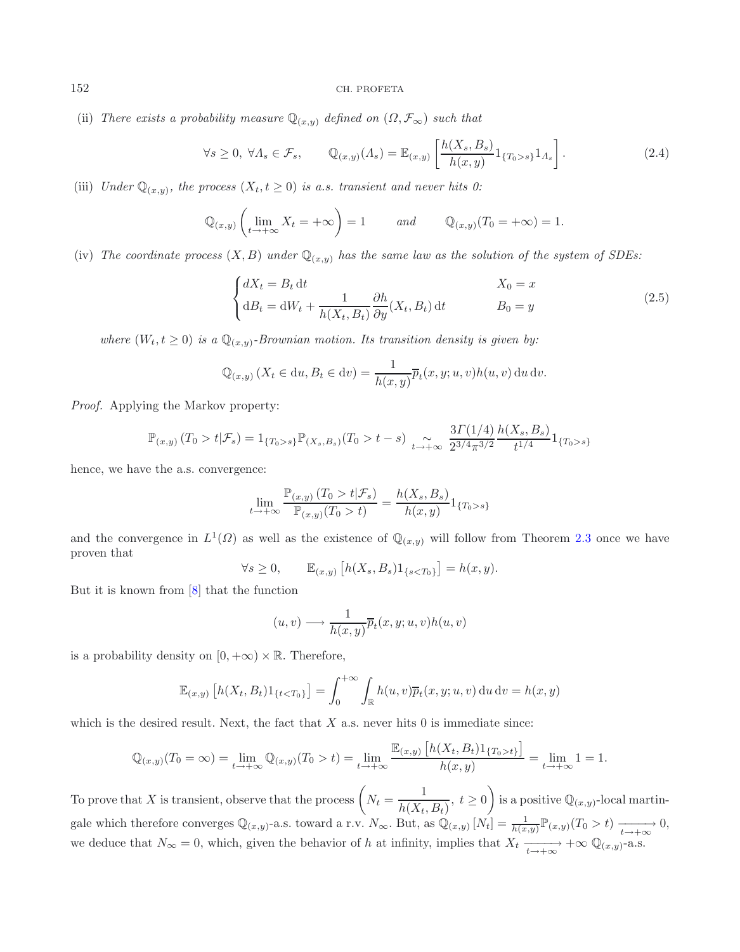(ii) *There exists a probability measure*  $\mathbb{Q}_{(x,y)}$  *defined on*  $(\Omega, \mathcal{F}_{\infty})$  *such that* 

<span id="page-4-1"></span><span id="page-4-0"></span>
$$
\forall s \ge 0, \ \forall \Lambda_s \in \mathcal{F}_s, \qquad \mathbb{Q}_{(x,y)}(\Lambda_s) = \mathbb{E}_{(x,y)} \left[ \frac{h(X_s, B_s)}{h(x,y)} 1_{\{T_0 > s\}} 1_{\Lambda_s} \right]. \tag{2.4}
$$

(iii) *Under*  $\mathbb{Q}_{(x,y)}$ *, the process*  $(X_t, t \geq 0)$  *is a.s. transient and never hits 0:* 

$$
\mathbb{Q}_{(x,y)}\left(\lim_{t\to+\infty}X_t=+\infty\right)=1\qquad\text{and}\qquad\mathbb{Q}_{(x,y)}(T_0=+\infty)=1.
$$

(iv) The coordinate process  $(X, B)$  under  $\mathbb{Q}_{(x,y)}$  has the same law as the solution of the system of SDEs:

$$
\begin{cases}\ndX_t = B_t \, \mathrm{d}t & X_0 = x \\
\mathrm{d}B_t = \mathrm{d}W_t + \frac{1}{h(X_t, B_t)} \frac{\partial h}{\partial y}(X_t, B_t) \, \mathrm{d}t & B_0 = y\n\end{cases} \tag{2.5}
$$

*where*  $(W_t, t \geq 0)$  *is a*  $\mathbb{Q}_{(x,y)}$ *-Brownian motion. Its transition density is given by:* 

$$
\mathbb{Q}_{(x,y)}\left(X_t \in \mathrm{d}u, B_t \in \mathrm{d}v\right) = \frac{1}{h(x,y)}\overline{p}_t(x,y;u,v)h(u,v)\,\mathrm{d}u\,\mathrm{d}v.
$$

*Proof.* Applying the Markov property:

$$
\mathbb{P}_{(x,y)}(T_0 > t | \mathcal{F}_s) = 1_{\{T_0 > s\}} \mathbb{P}_{(X_s, B_s)}(T_0 > t - s) \underset{t \to +\infty}{\sim} \frac{3\Gamma(1/4)}{2^{3/4}\pi^{3/2}} \frac{h(X_s, B_s)}{t^{1/4}} 1_{\{T_0 > s\}}
$$

hence, we have the a.s. convergence:

$$
\lim_{t \to +\infty} \frac{\mathbb{P}_{(x,y)}(T_0 > t | \mathcal{F}_s)}{\mathbb{P}_{(x,y)}(T_0 > t)} = \frac{h(X_s, B_s)}{h(x,y)} 1_{\{T_0 > s\}}
$$

and the convergence in  $L^1(\Omega)$  as well as the existence of  $\mathbb{Q}_{(x,y)}$  will follow from Theorem [2.3](#page-3-0) once we have proven that

$$
\forall s \ge 0, \qquad \mathbb{E}_{(x,y)} \left[ h(X_s, B_s) 1_{\{s < T_0\}} \right] = h(x, y).
$$

But it is known from [\[8](#page-22-4)] that the function

$$
(u, v) \longrightarrow \frac{1}{h(x, y)} \overline{p}_t(x, y; u, v) h(u, v)
$$

is a probability density on  $[0, +\infty) \times \mathbb{R}$ . Therefore,

$$
\mathbb{E}_{(x,y)}\left[h(X_t,B_t)1_{\{t
$$

which is the desired result. Next, the fact that  $X$  a.s. never hits 0 is immediate since:

$$
\mathbb{Q}_{(x,y)}(T_0 = \infty) = \lim_{t \to +\infty} \mathbb{Q}_{(x,y)}(T_0 > t) = \lim_{t \to +\infty} \frac{\mathbb{E}_{(x,y)} \left[ h(X_t, B_t) 1_{\{T_0 > t\}} \right]}{h(x,y)} = \lim_{t \to +\infty} 1 = 1.
$$

To prove that X is transient, observe that the process  $\left(N_t = \frac{1}{h(X_t, B_t)}, t \geq 0\right)$  $h(X_t, B_t)$  $\setminus$ is a positive  $\mathbb{Q}_{(x,y)}$ -local martingale which therefore converges  $\mathbb{Q}_{(x,y)}$ -a.s. toward a r.v.  $N_{\infty}$ . But, as  $\mathbb{Q}_{(x,y)}[N_t] = \frac{1}{h(x,y)} \mathbb{P}_{(x,y)}(T_0 > t) \xrightarrow[t \to +\infty]{} 0$ ,<br>we deduce that  $N_t = 0$ , which given the behavior of h at infinity implies that  $X$ we deduce that  $N_{\infty} = 0$ , which, given the behavior of h at infinity, implies that  $X_t \xrightarrow[t \to +\infty]{} +\infty \mathbb{Q}_{(x,y)}$ -a.s.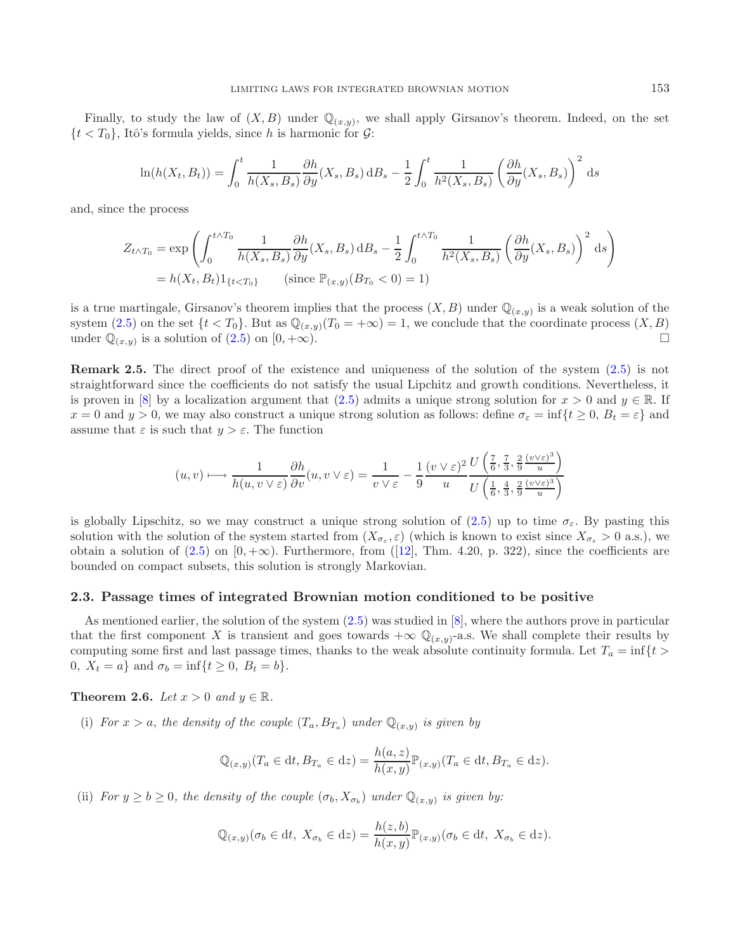Finally, to study the law of  $(X, B)$  under  $\mathbb{Q}_{(x,y)}$ , we shall apply Girsanov's theorem. Indeed, on the set  $\{t < T_0\}$ , Itô's formula yields, since h is harmonic for  $\mathcal{G}$ :

$$
\ln(h(X_t, B_t)) = \int_0^t \frac{1}{h(X_s, B_s)} \frac{\partial h}{\partial y}(X_s, B_s) dB_s - \frac{1}{2} \int_0^t \frac{1}{h^2(X_s, B_s)} \left(\frac{\partial h}{\partial y}(X_s, B_s)\right)^2 ds
$$

and, since the process

$$
Z_{t \wedge T_0} = \exp\left(\int_0^{t \wedge T_0} \frac{1}{h(X_s, B_s)} \frac{\partial h}{\partial y}(X_s, B_s) \, \mathrm{d}B_s - \frac{1}{2} \int_0^{t \wedge T_0} \frac{1}{h^2(X_s, B_s)} \left(\frac{\partial h}{\partial y}(X_s, B_s)\right)^2 \, \mathrm{d}s\right)
$$

$$
= h(X_t, B_t) \mathbf{1}_{\{t < T_0\}} \qquad \text{(since } \mathbb{P}_{(x,y)}(B_{T_0} < 0) = 1)
$$

is a true martingale, Girsanov's theorem implies that the process  $(X, B)$  under  $\mathbb{Q}_{(x,y)}$  is a weak solution of the system [\(2.5\)](#page-4-0) on the set  $\{t < T_0\}$ . But as  $\mathbb{Q}_{(x,y)}(T_0 = +\infty) = 1$ , we conclude that the coordinate process  $(X, B)$ <br>under  $\mathbb{Q}_{(x,y)}$  is a solution of (2.5) on  $[0, +\infty)$ . under  $\mathbb{Q}_{(x,y)}$  is a solution of  $(2.5)$  on  $[0, +\infty)$ .

**Remark 2.5.** The direct proof of the existence and uniqueness of the solution of the system  $(2.5)$  is not straightforward since the coefficients do not satisfy the usual Lipchitz and growth conditions. Nevertheless, it is proven in [\[8\]](#page-22-4) by a localization argument that [\(2.5\)](#page-4-0) admits a unique strong solution for  $x > 0$  and  $y \in \mathbb{R}$ . If  $x = 0$  and  $y > 0$ , we may also construct a unique strong solution as follows: define  $\sigma_{\varepsilon} = \inf\{t \geq 0, B_t = \varepsilon\}$  and assume that  $\varepsilon$  is such that  $y > \varepsilon$ . The function

$$
(u,v)\longmapsto \frac{1}{h(u,v\vee\varepsilon)}\frac{\partial h}{\partial v}(u,v\vee\varepsilon)=\frac{1}{v\vee\varepsilon}-\frac{1}{9}\frac{(v\vee\varepsilon)^2}{u}\frac{U\left(\frac{7}{6},\frac{7}{3},\frac{2}{9}\frac{(v\vee\varepsilon)^3}{u}\right)}{U\left(\frac{1}{6},\frac{4}{3},\frac{2}{9}\frac{(v\vee\varepsilon)^3}{u}\right)}
$$

is globally Lipschitz, so we may construct a unique strong solution of [\(2.5\)](#page-4-0) up to time  $\sigma_{\varepsilon}$ . By pasting this solution with the solution of the system started from  $(X_{\sigma_{\varepsilon}}, \varepsilon)$  (which is known to exist since  $X_{\sigma_{\varepsilon}} > 0$  a.s.), we obtain a solution of  $(2.5)$  on  $[0, +\infty)$ . Furthermore, from  $([12],$  $([12],$  $([12],$  Thm. 4.20, p. 322), since the coefficients are bounded on compact subsets, this solution is strongly Markovian.

#### **2.3. Passage times of integrated Brownian motion conditioned to be positive**

As mentioned earlier, the solution of the system [\(2.5\)](#page-4-0) was studied in [\[8](#page-22-4)], where the authors prove in particular that the first component X is transient and goes towards  $+\infty \mathbb{Q}_{(x,y)}$ -a.s. We shall complete their results by computing some first and last passage times, thanks to the weak absolute continuity formula. Let  $T_a = \inf\{t >$ 0,  $X_t = a$  and  $\sigma_b = \inf\{t \geq 0, B_t = b\}.$ 

**Theorem 2.6.** *Let*  $x > 0$  *and*  $y \in \mathbb{R}$ *.* 

(i) *For*  $x > a$ *, the density of the couple*  $(T_a, B_{T_a})$  *under*  $\mathbb{Q}_{(x,y)}$  *is given by* 

$$
\mathbb{Q}_{(x,y)}(T_a \in \mathrm{d}t, B_{T_a} \in \mathrm{d}z) = \frac{h(a,z)}{h(x,y)} \mathbb{P}_{(x,y)}(T_a \in \mathrm{d}t, B_{T_a} \in \mathrm{d}z).
$$

(ii) *For*  $y \ge b \ge 0$ *, the density of the couple*  $(\sigma_b, X_{\sigma_b})$  *under*  $\mathbb{Q}_{(x,y)}$  *is given by:* 

$$
\mathbb{Q}_{(x,y)}(\sigma_b \in dt, \ X_{\sigma_b} \in dz) = \frac{h(z,b)}{h(x,y)} \mathbb{P}_{(x,y)}(\sigma_b \in dt, \ X_{\sigma_b} \in dz).
$$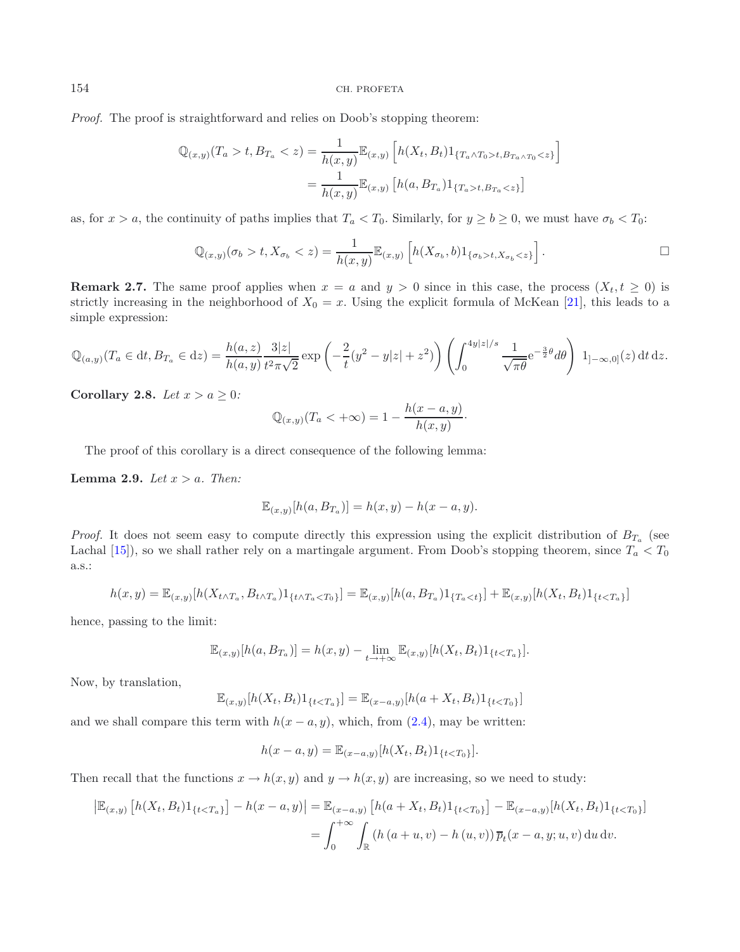*Proof.* The proof is straightforward and relies on Doob's stopping theorem:

$$
\mathbb{Q}_{(x,y)}(T_a > t, B_{T_a} < z) = \frac{1}{h(x,y)} \mathbb{E}_{(x,y)} \left[ h(X_t, B_t) 1_{\{T_a \wedge T_0 > t, B_{T_a} \wedge T_0 < z\}} \right]
$$

$$
= \frac{1}{h(x,y)} \mathbb{E}_{(x,y)} \left[ h(a, B_{T_a}) 1_{\{T_a > t, B_{T_a} < z\}} \right]
$$

as, for  $x>a$ , the continuity of paths implies that  $T_a < T_0$ . Similarly, for  $y \ge b \ge 0$ , we must have  $\sigma_b < T_0$ :

$$
\mathbb{Q}_{(x,y)}(\sigma_b > t, X_{\sigma_b} < z) = \frac{1}{h(x,y)} \mathbb{E}_{(x,y)} \left[ h(X_{\sigma_b}, b) 1_{\{\sigma_b > t, X_{\sigma_b} < z\}} \right].
$$

**Remark 2.7.** The same proof applies when  $x = a$  and  $y > 0$  since in this case, the process  $(X_t, t \ge 0)$  is strictly increasing in the neighborhood of  $X_0 = x$ . Using the explicit formula of McKean [\[21](#page-23-6)], this leads to a simple expression:

$$
\mathbb{Q}_{(a,y)}(T_a \in dt, B_{T_a} \in dz) = \frac{h(a,z)}{h(a,y)} \frac{3|z|}{t^2 \pi \sqrt{2}} \exp\left(-\frac{2}{t}(y^2 - y|z| + z^2)\right) \left(\int_0^{4y|z|/s} \frac{1}{\sqrt{\pi \theta}} e^{-\frac{3}{2}\theta} d\theta\right) 1_{]-\infty,0]}(z) dt dz.
$$

<span id="page-6-0"></span>**Corollary 2.8.** *Let*  $x > a \geq 0$ *:* 

$$
\mathbb{Q}_{(x,y)}(T_a < +\infty) = 1 - \frac{h(x-a,y)}{h(x,y)}.
$$

The proof of this corollary is a direct consequence of the following lemma:

<span id="page-6-1"></span>**Lemma 2.9.** *Let*  $x > a$ *. Then:* 

$$
\mathbb{E}_{(x,y)}[h(a, B_{T_a})] = h(x, y) - h(x - a, y).
$$

*Proof.* It does not seem easy to compute directly this expression using the explicit distribution of  $B_{T_a}$  (see Lachal [\[15\]](#page-23-7)), so we shall rather rely on a martingale argument. From Doob's stopping theorem, since  $T_a < T_0$ a.s.:

$$
h(x,y) = \mathbb{E}_{(x,y)}[h(X_{t \wedge T_a}, B_{t \wedge T_a})1_{\{t \wedge T_a < T_0\}}] = \mathbb{E}_{(x,y)}[h(a, B_{T_a})1_{\{T_a < t\}}] + \mathbb{E}_{(x,y)}[h(X_t, B_t)1_{\{t < T_a\}}]
$$

hence, passing to the limit:

$$
\mathbb{E}_{(x,y)}[h(a, B_{T_a})] = h(x,y) - \lim_{t \to +\infty} \mathbb{E}_{(x,y)}[h(X_t, B_t)1_{\{t < T_a\}}].
$$

Now, by translation,

$$
\mathbb{E}_{(x,y)}[h(X_t, B_t)1_{\{t < T_a\}}] = \mathbb{E}_{(x-a,y)}[h(a + X_t, B_t)1_{\{t < T_0\}}]
$$

and we shall compare this term with  $h(x - a, y)$ , which, from [\(2.4\)](#page-4-1), may be written:

$$
h(x-a, y) = \mathbb{E}_{(x-a, y)}[h(X_t, B_t)1_{\{t < T_0\}}].
$$

Then recall that the functions  $x \to h(x, y)$  and  $y \to h(x, y)$  are increasing, so we need to study:

$$
\begin{aligned} \left| \mathbb{E}_{(x,y)} \left[ h(X_t, B_t) 1_{\{t < T_a\}} \right] - h(x - a, y) \right| &= \mathbb{E}_{(x - a, y)} \left[ h(a + X_t, B_t) 1_{\{t < T_0\}} \right] - \mathbb{E}_{(x - a, y)} [h(X_t, B_t) 1_{\{t < T_0\}}] \\ &= \int_0^{+\infty} \int_{\mathbb{R}} \left( h\left( a + u, v \right) - h\left( u, v \right) \right) \overline{p}_t(x - a, y; u, v) \, \mathrm{d}u \, \mathrm{d}v. \end{aligned}
$$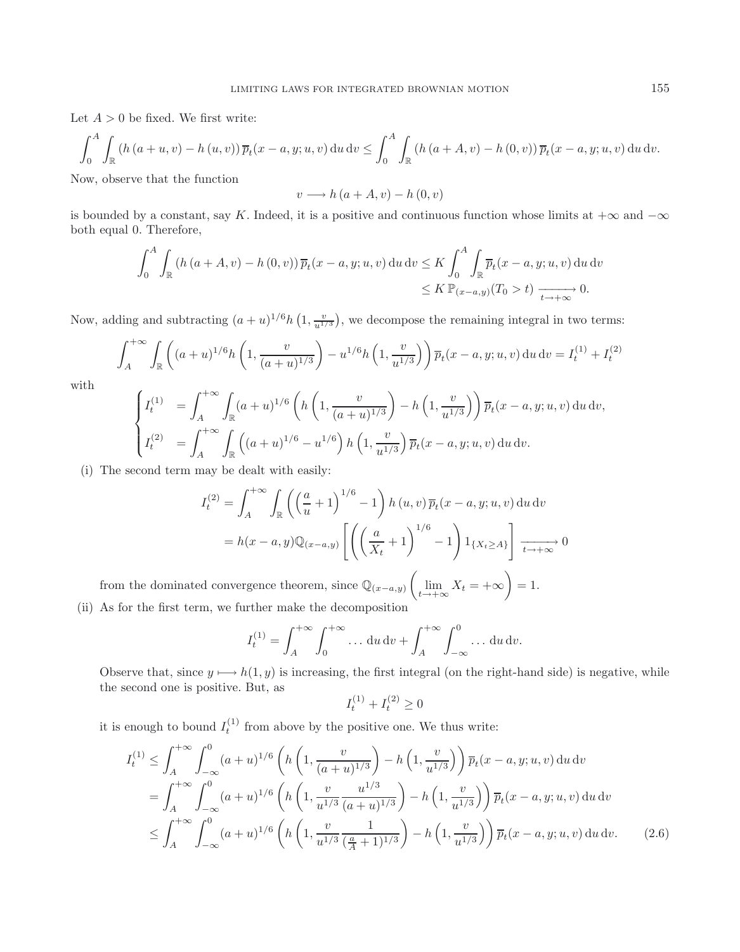Let  $A > 0$  be fixed. We first write:

$$
\int_0^A \int_{\mathbb{R}} \left( h\left(a+u,v\right) - h\left(u,v\right) \right) \overline{p}_t(x-a,y;u,v) \, \mathrm{d}u \, \mathrm{d}v \le \int_0^A \int_{\mathbb{R}} \left( h\left(a+A,v\right) - h\left(0,v\right) \right) \overline{p}_t(x-a,y;u,v) \, \mathrm{d}u \, \mathrm{d}v.
$$

Now, observe that the function

$$
v \longrightarrow h\left(a+A, v\right) - h\left(0, v\right)
$$

is bounded by a constant, say K. Indeed, it is a positive and continuous function whose limits at  $+\infty$  and  $-\infty$ both equal 0. Therefore,

$$
\int_0^A \int_{\mathbb{R}} \left( h\left(a + A, v\right) - h\left(0, v\right) \right) \overline{p}_t(x - a, y; u, v) \, du \, dv \le K \int_0^A \int_{\mathbb{R}} \overline{p}_t(x - a, y; u, v) \, du \, dv
$$
  
\$\le K \mathbb{P}\_{(x - a, y)}(T\_0 > t) \xrightarrow[t \to +\infty]{} 0.

Now, adding and subtracting  $(a+u)^{1/6}h\left(1,\frac{v}{u^{1/3}}\right)$ , we decompose the remaining integral in two terms:

$$
\int_{A}^{+\infty} \int_{\mathbb{R}} \left( (a+u)^{1/6} h\left(1, \frac{v}{(a+u)^{1/3}}\right) - u^{1/6} h\left(1, \frac{v}{u^{1/3}}\right) \right) \overline{p}_t(x-a, y; u, v) \, du \, dv = I_t^{(1)} + I_t^{(2)}
$$

with

$$
\begin{cases}\nI_t^{(1)} = \int_A^{+\infty} \int_{\mathbb{R}} (a+u)^{1/6} \left( h\left(1, \frac{v}{(a+u)^{1/3}}\right) - h\left(1, \frac{v}{u^{1/3}}\right) \right) \overline{p}_t(x-a, y; u, v) \, du \, dv, \\
I_t^{(2)} = \int_A^{+\infty} \int_{\mathbb{R}} \left( (a+u)^{1/6} - u^{1/6} \right) h\left(1, \frac{v}{u^{1/3}}\right) \overline{p}_t(x-a, y; u, v) \, du \, dv.\n\end{cases}
$$

(i) The second term may be dealt with easily:

$$
I_t^{(2)} = \int_A^{+\infty} \int_{\mathbb{R}} \left( \left( \frac{a}{u} + 1 \right)^{1/6} - 1 \right) h(u, v) \overline{p}_t(x - a, y; u, v) \, du \, dv
$$

$$
= h(x - a, y) \mathbb{Q}_{(x - a, y)} \left[ \left( \left( \frac{a}{X_t} + 1 \right)^{1/6} - 1 \right) 1_{\{X_t \ge A\}} \right] \xrightarrow[t \to +\infty]{} 0
$$

from the dominated convergence theorem, since  $\mathbb{Q}_{(x-a,y)}$  $\sqrt{ }$  $\lim_{t\to+\infty}X_t=+\infty$  $\setminus$  $= 1.$ (ii) As for the first term, we further make the decomposition

$$
I_t^{(1)} = \int_A^{+\infty} \int_0^{+\infty} \dots du \, dv + \int_A^{+\infty} \int_{-\infty}^0 \dots du \, dv.
$$

Observe that, since  $y \mapsto h(1, y)$  is increasing, the first integral (on the right-hand side) is negative, while the second one is positive. But, as

<span id="page-7-0"></span>
$$
I_t^{(1)} + I_t^{(2)} \ge 0
$$

it is enough to bound  $I_t^{(1)}$  from above by the positive one. We thus write:

$$
I_t^{(1)} \leq \int_A^{+\infty} \int_{-\infty}^0 (a+u)^{1/6} \left( h\left(1, \frac{v}{(a+u)^{1/3}}\right) - h\left(1, \frac{v}{u^{1/3}}\right) \right) \overline{p}_t(x-a, y; u, v) \, du \, dv
$$
  
\n
$$
= \int_A^{+\infty} \int_{-\infty}^0 (a+u)^{1/6} \left( h\left(1, \frac{v}{u^{1/3}} \frac{u^{1/3}}{(a+u)^{1/3}}\right) - h\left(1, \frac{v}{u^{1/3}}\right) \right) \overline{p}_t(x-a, y; u, v) \, du \, dv
$$
  
\n
$$
\leq \int_A^{+\infty} \int_{-\infty}^0 (a+u)^{1/6} \left( h\left(1, \frac{v}{u^{1/3}} \frac{1}{(\frac{a}{A}+1)^{1/3}}\right) - h\left(1, \frac{v}{u^{1/3}}\right) \right) \overline{p}_t(x-a, y; u, v) \, du \, dv. \tag{2.6}
$$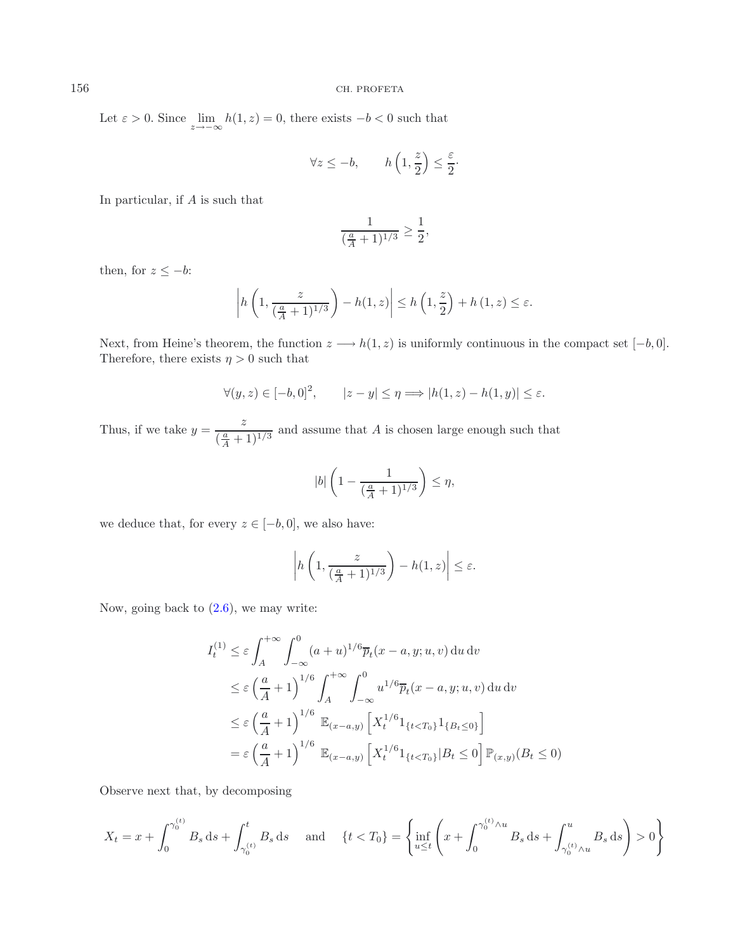Let  $\varepsilon > 0$ . Since  $\lim_{z \to -\infty} h(1, z) = 0$ , there exists  $-b < 0$  such that

$$
\forall z \leq -b, \qquad h\left(1, \frac{z}{2}\right) \leq \frac{\varepsilon}{2}.
$$

In particular, if A is such that

$$
\frac{1}{(\frac{a}{A}+1)^{1/3}} \ge \frac{1}{2},
$$

then, for  $z \leq -b$ :

$$
\left| h\left(1, \frac{z}{(\frac{a}{A}+1)^{1/3}}\right) - h(1, z) \right| \le h\left(1, \frac{z}{2}\right) + h\left(1, z\right) \le \varepsilon.
$$

Next, from Heine's theorem, the function  $z \longrightarrow h(1, z)$  is uniformly continuous in the compact set  $[-b, 0]$ . Therefore, there exists  $\eta > 0$  such that

$$
\forall (y, z) \in [-b, 0]^2, \qquad |z - y| \le \eta \Longrightarrow |h(1, z) - h(1, y)| \le \varepsilon.
$$

Thus, if we take  $y = \frac{z}{(\frac{a}{A} + 1)^{1/3}}$  and assume that A is chosen large enough such that

$$
|b| \left( 1 - \frac{1}{\left(\frac{a}{A} + 1\right)^{1/3}} \right) \le \eta,
$$

we deduce that, for every  $z \in [-b, 0]$ , we also have:

$$
\left| h\left(1, \frac{z}{(\frac{a}{A}+1)^{1/3}}\right) - h(1, z) \right| \le \varepsilon.
$$

Now, going back to  $(2.6)$ , we may write:

$$
I_t^{(1)} \le \varepsilon \int_A^{+\infty} \int_{-\infty}^0 (a+u)^{1/6} \overline{p}_t(x-a, y; u, v) \, du \, dv
$$
  
\n
$$
\le \varepsilon \left(\frac{a}{A} + 1\right)^{1/6} \int_A^{+\infty} \int_{-\infty}^0 u^{1/6} \overline{p}_t(x-a, y; u, v) \, du \, dv
$$
  
\n
$$
\le \varepsilon \left(\frac{a}{A} + 1\right)^{1/6} \mathbb{E}_{(x-a, y)} \left[X_t^{1/6} 1_{\{t < T_0\}} 1_{\{B_t \le 0\}}\right]
$$
  
\n
$$
= \varepsilon \left(\frac{a}{A} + 1\right)^{1/6} \mathbb{E}_{(x-a, y)} \left[X_t^{1/6} 1_{\{t < T_0\}} | B_t \le 0\right] \mathbb{P}_{(x, y)} (B_t \le 0)
$$

Observe next that, by decomposing

$$
X_t = x + \int_0^{\gamma_0^{(t)}} B_s \, ds + \int_{\gamma_0^{(t)}}^t B_s \, ds \quad \text{and} \quad \{t < T_0\} = \left\{ \inf_{u \le t} \left( x + \int_0^{\gamma_0^{(t)} \wedge u} B_s \, ds + \int_{\gamma_0^{(t)} \wedge u}^u B_s \, ds \right) > 0 \right\}
$$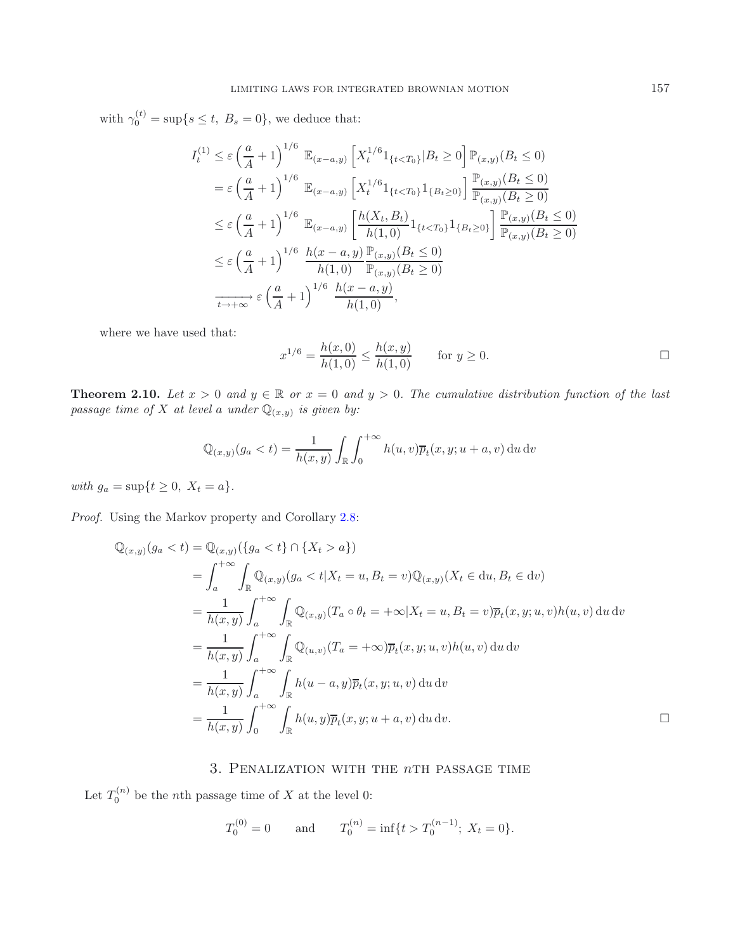with  $\gamma_0^{(t)} = \sup\{s \le t, B_s = 0\}$ , we deduce that:

$$
I_{t}^{(1)} \leq \varepsilon \left(\frac{a}{A} + 1\right)^{1/6} \mathbb{E}_{(x-a,y)} \left[X_{t}^{1/6}1_{\{t < T_{0}\}} | B_{t} \geq 0\right] \mathbb{P}_{(x,y)}(B_{t} \leq 0)
$$
  
\n
$$
= \varepsilon \left(\frac{a}{A} + 1\right)^{1/6} \mathbb{E}_{(x-a,y)} \left[X_{t}^{1/6}1_{\{t < T_{0}\}}1_{\{B_{t} \geq 0\}}\right] \frac{\mathbb{P}_{(x,y)}(B_{t} \leq 0)}{\mathbb{P}_{(x,y)}(B_{t} \geq 0)}
$$
  
\n
$$
\leq \varepsilon \left(\frac{a}{A} + 1\right)^{1/6} \mathbb{E}_{(x-a,y)} \left[\frac{h(X_{t}, B_{t})}{h(1,0)}1_{\{t < T_{0}\}}1_{\{B_{t} \geq 0\}}\right] \frac{\mathbb{P}_{(x,y)}(B_{t} \leq 0)}{\mathbb{P}_{(x,y)}(B_{t} \geq 0)}
$$
  
\n
$$
\leq \varepsilon \left(\frac{a}{A} + 1\right)^{1/6} \frac{h(x-a,y)}{h(1,0)} \frac{\mathbb{P}_{(x,y)}(B_{t} \leq 0)}{\mathbb{P}_{(x,y)}(B_{t} \geq 0)}
$$
  
\n
$$
\xrightarrow[t \to +\infty]{} \varepsilon \left(\frac{a}{A} + 1\right)^{1/6} \frac{h(x-a,y)}{h(1,0)},
$$

where we have used that:

$$
x^{1/6} = \frac{h(x,0)}{h(1,0)} \le \frac{h(x,y)}{h(1,0)} \quad \text{for } y \ge 0.
$$

**Theorem 2.10.** *Let*  $x > 0$  *and*  $y \in \mathbb{R}$  *or*  $x = 0$  *and*  $y > 0$ *. The cumulative distribution function of the last passage time of* X *at level* a *under*  $\mathbb{Q}_{(x,y)}$  *is given by:* 

$$
\mathbb{Q}_{(x,y)}(g_a < t) = \frac{1}{h(x,y)} \int_{\mathbb{R}} \int_0^{+\infty} h(u,v) \overline{p}_t(x,y; u+a, v) \, \mathrm{d}u \, \mathrm{d}v
$$

*with*  $g_a = \sup\{t \ge 0, X_t = a\}.$ 

*Proof.* Using the Markov property and Corollary [2.8:](#page-6-0)

$$
\mathbb{Q}_{(x,y)}(g_a < t) = \mathbb{Q}_{(x,y)}(\{g_a < t\} \cap \{X_t > a\})
$$
\n
$$
= \int_a^{+\infty} \int_{\mathbb{R}} \mathbb{Q}_{(x,y)}(g_a < t | X_t = u, B_t = v) \mathbb{Q}_{(x,y)}(X_t \in du, B_t \in dv)
$$
\n
$$
= \frac{1}{h(x,y)} \int_a^{+\infty} \int_{\mathbb{R}} \mathbb{Q}_{(x,y)}(T_a \circ \theta_t = +\infty | X_t = u, B_t = v) \overline{p}_t(x,y; u, v) h(u, v) \, du \, dv
$$
\n
$$
= \frac{1}{h(x,y)} \int_a^{+\infty} \int_{\mathbb{R}} \mathbb{Q}_{(u,v)}(T_a = +\infty) \overline{p}_t(x,y; u, v) h(u, v) \, du \, dv
$$
\n
$$
= \frac{1}{h(x,y)} \int_a^{+\infty} \int_{\mathbb{R}} h(u - a, y) \overline{p}_t(x,y; u, v) \, du \, dv
$$
\n
$$
= \frac{1}{h(x,y)} \int_0^{+\infty} \int_{\mathbb{R}} h(u, y) \overline{p}_t(x,y; u + a, v) \, du \, dv.
$$

# 3. Penalization with the *n*th passage time

<span id="page-9-0"></span>Let  $T_0^{(n)}$  be the *n*th passage time of X at the level 0:

$$
T_0^{(0)} = 0
$$
 and  $T_0^{(n)} = \inf\{t > T_0^{(n-1)}; X_t = 0\}.$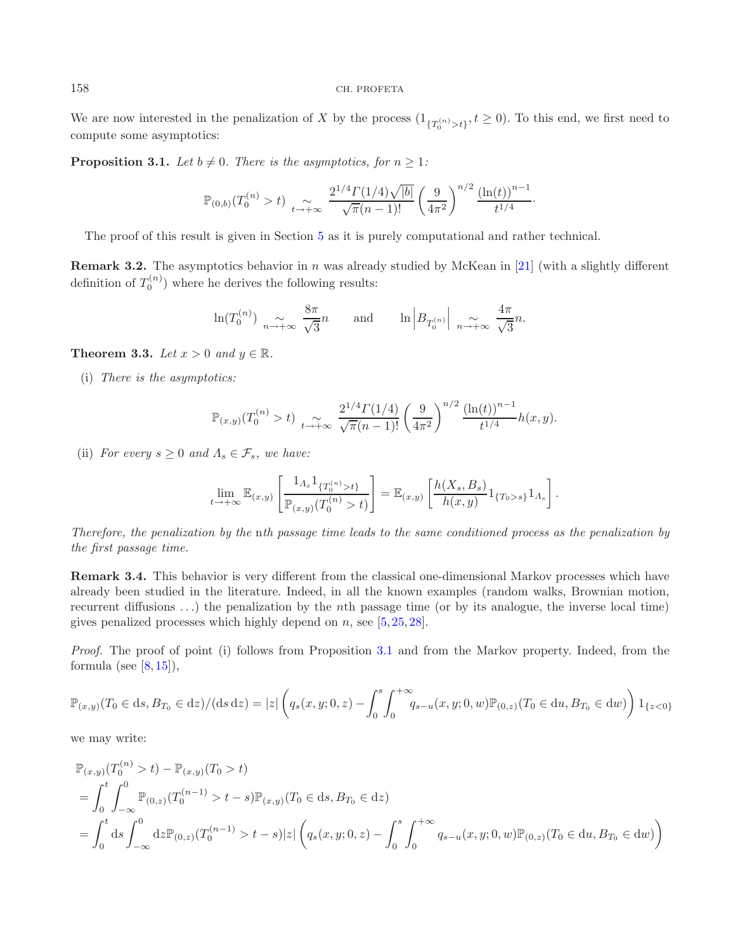<span id="page-10-0"></span>We are now interested in the penalization of X by the process  $(1_{\{T_0^{(n)} > t\}}, t \ge 0)$ . To this end, we first need to compute some asymptotics: compute some asymptotics:

**Proposition 3.1.** *Let*  $b \neq 0$ *. There is the asymptotics, for*  $n \geq 1$ *:* 

$$
\mathbb{P}_{(0,b)}(T_0^{(n)} > t) \underset{t \to +\infty}{\sim} \frac{2^{1/4} \Gamma(1/4) \sqrt{|b|}}{\sqrt{\pi}(n-1)!} \left(\frac{9}{4\pi^2}\right)^{n/2} \frac{\left(\ln(t)\right)^{n-1}}{t^{1/4}}.
$$

The proof of this result is given in Section [5](#page-18-0) as it is purely computational and rather technical.

**Remark 3.2.** The asymptotics behavior in n was already studied by McKean in [\[21\]](#page-23-6) (with a slightly different definition of  $T_0^{(n)}$ ) where he derives the following results:

$$
\ln(T_0^{(n)}) \underset{n \to +\infty}{\sim} \frac{8\pi}{\sqrt{3}}n
$$
 and  $\ln \left| B_{T_0^{(n)}} \right| \underset{n \to +\infty}{\sim} \frac{4\pi}{\sqrt{3}}n$ .

**Theorem 3.3.** *Let*  $x > 0$  *and*  $y \in \mathbb{R}$ *.* 

(i) *There is the asymptotics:*

$$
\mathbb{P}_{(x,y)}(T_0^{(n)} > t) \underset{t \to +\infty}{\sim} \frac{2^{1/4} \Gamma(1/4)}{\sqrt{\pi}(n-1)!} \left(\frac{9}{4\pi^2}\right)^{n/2} \frac{\left(\ln(t)\right)^{n-1}}{t^{1/4}} h(x,y).
$$

(ii) *For every*  $s \geq 0$  *and*  $\Lambda_s \in \mathcal{F}_s$ *, we have:* 

$$
\lim_{t \to +\infty} \mathbb{E}_{(x,y)} \left[ \frac{\mathbb{1}_{A_s} \mathbb{1}_{\{T_0^{(n)} > t\}}}{\mathbb{P}_{(x,y)}(T_0^{(n)} > t)} \right] = \mathbb{E}_{(x,y)} \left[ \frac{h(X_s, B_s)}{h(x,y)} \mathbb{1}_{\{T_0 > s\}} \mathbb{1}_{A_s} \right].
$$

*Therefore, the penalization by the* n*th passage time leads to the same conditioned process as the penalization by the first passage time.*

**Remark 3.4.** This behavior is very different from the classical one-dimensional Markov processes which have already been studied in the literature. Indeed, in all the known examples (random walks, Brownian motion, recurrent diffusions ...) the penalization by the nth passage time (or by its analogue, the inverse local time) gives penalized processes which highly depend on  $n$ , see [\[5](#page-22-0), [25](#page-23-19), [28](#page-23-5)].

*Proof.* The proof of point (i) follows from Proposition [3.1](#page-10-0) and from the Markov property. Indeed, from the formula (see  $[8, 15]$  $[8, 15]$  $[8, 15]$  $[8, 15]$ ),

$$
\mathbb{P}_{(x,y)}(T_0 \in ds, B_{T_0} \in dz) / (ds \, dz) = |z| \left( q_s(x, y; 0, z) - \int_0^s \int_0^{+\infty} q_{s-u}(x, y; 0, w) \mathbb{P}_{(0,z)}(T_0 \in du, B_{T_0} \in dw) \right) 1_{\{z < 0\}}
$$

we may write:

$$
\mathbb{P}_{(x,y)}(T_0^{(n)} > t) - \mathbb{P}_{(x,y)}(T_0 > t)
$$
\n
$$
= \int_0^t \int_{-\infty}^0 \mathbb{P}_{(0,z)}(T_0^{(n-1)} > t - s) \mathbb{P}_{(x,y)}(T_0 \in ds, B_{T_0} \in dz)
$$
\n
$$
= \int_0^t ds \int_{-\infty}^0 dz \mathbb{P}_{(0,z)}(T_0^{(n-1)} > t - s) |z| \left( q_s(x, y; 0, z) - \int_0^s \int_0^{+\infty} q_{s-u}(x, y; 0, w) \mathbb{P}_{(0,z)}(T_0 \in du, B_{T_0} \in dw) \right)
$$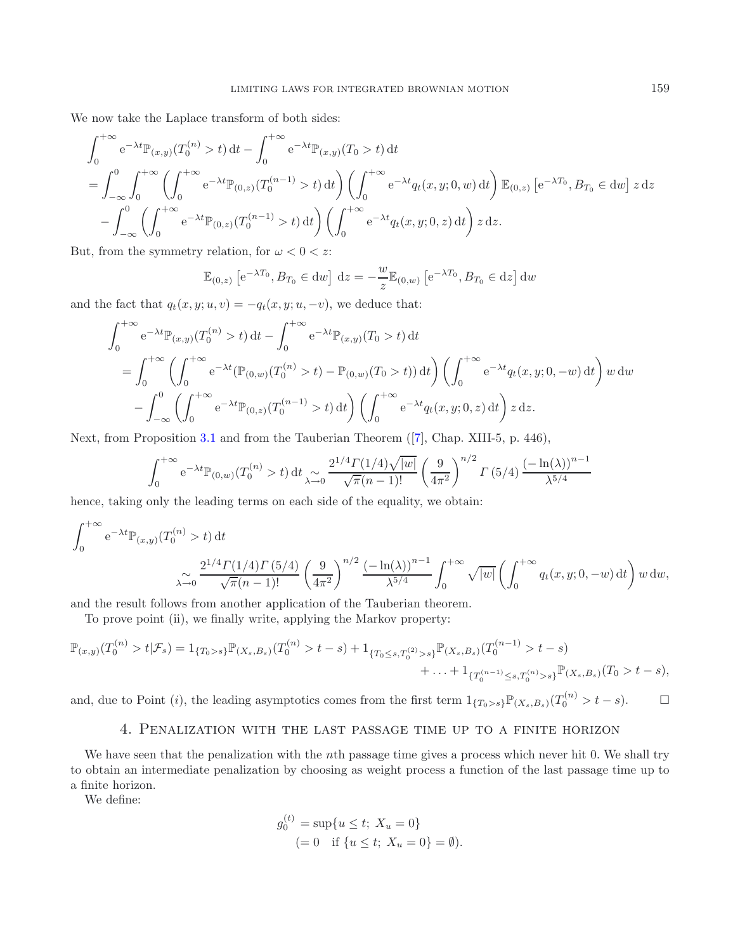We now take the Laplace transform of both sides:

$$
\int_{0}^{+\infty} e^{-\lambda t} \mathbb{P}_{(x,y)}(T_{0}^{(n)} > t) dt - \int_{0}^{+\infty} e^{-\lambda t} \mathbb{P}_{(x,y)}(T_{0} > t) dt
$$
\n
$$
= \int_{-\infty}^{0} \int_{0}^{+\infty} \left( \int_{0}^{+\infty} e^{-\lambda t} \mathbb{P}_{(0,z)}(T_{0}^{(n-1)} > t) dt \right) \left( \int_{0}^{+\infty} e^{-\lambda t} q_{t}(x, y; 0, w) dt \right) \mathbb{E}_{(0,z)} [e^{-\lambda T_{0}}, B_{T_{0}} \in dw] z dz
$$
\n
$$
- \int_{-\infty}^{0} \left( \int_{0}^{+\infty} e^{-\lambda t} \mathbb{P}_{(0,z)}(T_{0}^{(n-1)} > t) dt \right) \left( \int_{0}^{+\infty} e^{-\lambda t} q_{t}(x, y; 0, z) dt \right) z dz.
$$

But, from the symmetry relation, for  $\omega < 0 < z$ :

$$
\mathbb{E}_{(0,z)} [e^{-\lambda T_0}, B_{T_0} \in dw] dz = -\frac{w}{z} \mathbb{E}_{(0,w)} [e^{-\lambda T_0}, B_{T_0} \in dz] dw
$$

and the fact that  $q_t(x, y; u, v) = -q_t(x, y; u, -v)$ , we deduce that:

$$
\int_{0}^{+\infty} e^{-\lambda t} \mathbb{P}_{(x,y)}(T_{0}^{(n)} > t) dt - \int_{0}^{+\infty} e^{-\lambda t} \mathbb{P}_{(x,y)}(T_{0} > t) dt
$$
\n
$$
= \int_{0}^{+\infty} \left( \int_{0}^{+\infty} e^{-\lambda t} (\mathbb{P}_{(0,w)}(T_{0}^{(n)} > t) - \mathbb{P}_{(0,w)}(T_{0} > t)) dt \right) \left( \int_{0}^{+\infty} e^{-\lambda t} q_{t}(x, y; 0, -w) dt \right) w dw
$$
\n
$$
- \int_{-\infty}^{0} \left( \int_{0}^{+\infty} e^{-\lambda t} \mathbb{P}_{(0,z)}(T_{0}^{(n-1)} > t) dt \right) \left( \int_{0}^{+\infty} e^{-\lambda t} q_{t}(x, y; 0, z) dt \right) z dz.
$$

Next, from Proposition [3.1](#page-10-0) and from the Tauberian Theorem ([\[7\]](#page-22-7), Chap. XIII-5, p. 446),

$$
\int_0^{+\infty} e^{-\lambda t} \mathbb{P}_{(0,w)}(T_0^{(n)} > t) dt \sum_{\lambda \to 0} \frac{2^{1/4} \Gamma(1/4) \sqrt{|w|}}{\sqrt{\pi (n-1)!}} \left(\frac{9}{4\pi^2}\right)^{n/2} \Gamma(5/4) \frac{\left(-\ln(\lambda)\right)^{n-1}}{\lambda^{5/4}}
$$

hence, taking only the leading terms on each side of the equality, we obtain:

$$
\int_0^{+\infty} e^{-\lambda t} \mathbb{P}_{(x,y)}(T_0^{(n)} > t) dt
$$
  

$$
\int_0^{+\infty} e^{-\lambda t} \mathbb{P}_{(x,y)}(T_0^{(n)} > t) dt
$$
  

$$
\int_0^{2^{1/4} \Gamma(1/4) \Gamma(5/4)} \left(\frac{9}{4\pi^2}\right)^{n/2} \frac{(-\ln(\lambda))^{n-1}}{\lambda^{5/4}} \int_0^{+\infty} \sqrt{|w|} \left(\int_0^{+\infty} q_t(x, y; 0, -w) dt\right) w dw,
$$

and the result follows from another application of the Tauberian theorem.

To prove point (ii), we finally write, applying the Markov property:

$$
\mathbb{P}_{(x,y)}(T_0^{(n)} > t | \mathcal{F}_s) = 1_{\{T_0 > s\}} \mathbb{P}_{(X_s, B_s)}(T_0^{(n)} > t - s) + 1_{\{T_0 \le s, T_0^{(2)} > s\}} \mathbb{P}_{(X_s, B_s)}(T_0^{(n-1)} > t - s) + \ldots + 1_{\{T_0^{(n-1)} \le s, T_0^{(n)} > s\}} \mathbb{P}_{(X_s, B_s)}(T_0 > t - s),
$$

<span id="page-11-0"></span>and, due to Point (*i*), the leading asymptotics comes from the first term  $1_{\{T_0 > s\}} \mathbb{P}_{(X_s,B_s)}(T_0^{(n)} > t - s)$ .

## 4. Penalization with the last passage time up to a finite horizon

We have seen that the penalization with the nth passage time gives a process which never hit 0. We shall try to obtain an intermediate penalization by choosing as weight process a function of the last passage time up to a finite horizon.

<span id="page-11-1"></span>We define:

$$
g_0^{(t)} = \sup\{u \le t; \ X_u = 0\}
$$
  
(= 0 if  $\{u \le t; \ X_u = 0\} = \emptyset$ ).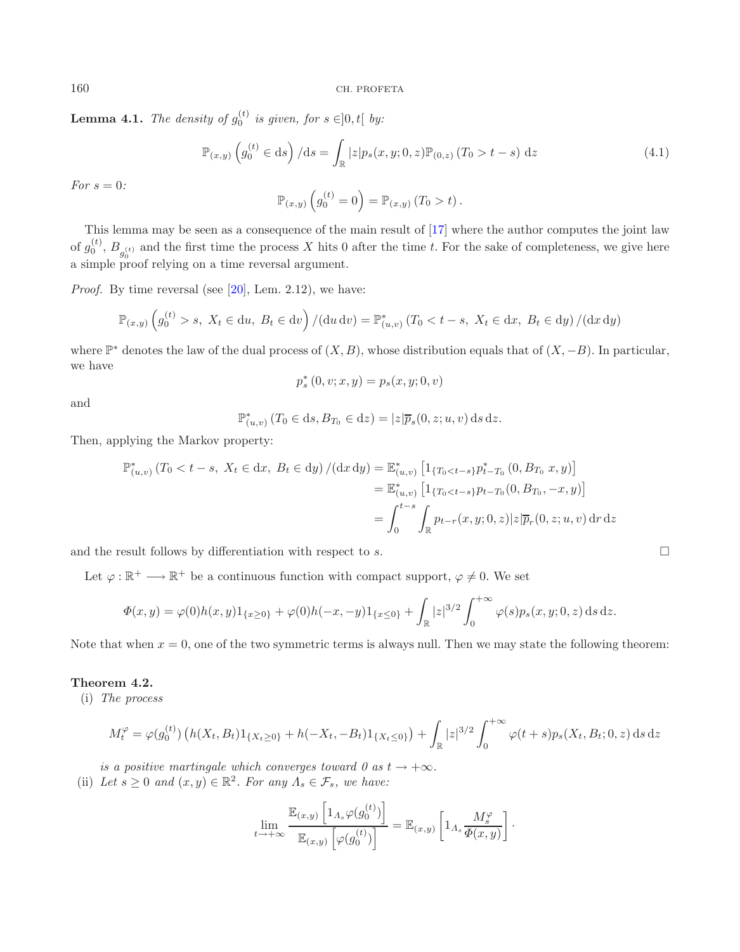**Lemma 4.1.** *The density of*  $g_0^{(t)}$  *is given, for*  $s \in ]0, t[$  *by:* 

$$
\mathbb{P}_{(x,y)}\left(g_0^{(t)} \in ds\right) / ds = \int_{\mathbb{R}} |z| p_s(x, y; 0, z) \mathbb{P}_{(0,z)}(T_0 > t - s) \, dz \tag{4.1}
$$

*For* s = 0*:*

$$
\mathbb{P}_{(x,y)}\left(g_0^{(t)}=0\right) = \mathbb{P}_{(x,y)}\left(T_0 > t\right).
$$

This lemma may be seen as a consequence of the main result of [\[17\]](#page-23-8) where the author computes the joint law of  $g_0^{(t)}$ ,  $B_{g_0^{(t)}}$  and the first time the process X hits 0 after the time t. For the sake of completeness, we give here a simple proof relying on a time reversal argument.

*Proof.* By time reversal (see  $[20]$ , Lem. 2.12), we have:

$$
\mathbb{P}_{(x,y)}\left(g_0^{(t)} > s, \ X_t \in du, \ B_t \in dv\right) / (du \, dv) = \mathbb{P}_{(u,v)}^* (T_0 < t - s, \ X_t \in dx, \ B_t \in dy) / (dx \, dy)
$$

where  $\mathbb{P}^*$  denotes the law of the dual process of  $(X, B)$ , whose distribution equals that of  $(X, -B)$ . In particular, we have

$$
p_s^*(0, v; x, y) = p_s(x, y; 0, v)
$$

and

$$
\mathbb{P}^*_{(u,v)}(T_0 \in ds, B_{T_0} \in dz) = |z| \overline{p}_s(0, z; u, v) ds dz.
$$

Then, applying the Markov property:

$$
\mathbb{P}_{(u,v)}^*(T_0 < t - s, \ X_t \in dx, \ B_t \in dy) / (dx \, dy) = \mathbb{E}_{(u,v)}^* \left[ 1_{\{T_0 < t - s\}} p_{t - T_0}^*(0, B_{T_0} x, y) \right]
$$
\n
$$
= \mathbb{E}_{(u,v)}^* \left[ 1_{\{T_0 < t - s\}} p_{t - T_0}(0, B_{T_0}, -x, y) \right]
$$
\n
$$
= \int_0^{t - s} \int_{\mathbb{R}} p_{t - r}(x, y; 0, z) |z| \overline{p}_r(0, z; u, v) \, dr \, dz
$$

and the result follows by differentiation with respect to s.  $\Box$ 

Let  $\varphi : \mathbb{R}^+ \longrightarrow \mathbb{R}^+$  be a continuous function with compact support,  $\varphi \neq 0$ . We set

$$
\Phi(x,y) = \varphi(0)h(x,y)1_{\{x\geq 0\}} + \varphi(0)h(-x,-y)1_{\{x\leq 0\}} + \int_{\mathbb{R}} |z|^{3/2} \int_0^{+\infty} \varphi(s)p_s(x,y;0,z) \,ds \,dz.
$$

Note that when  $x = 0$ , one of the two symmetric terms is always null. Then we may state the following theorem:

## **Theorem 4.2.**

(i) *The process*

$$
M_t^{\varphi} = \varphi(g_0^{(t)}) \left( h(X_t, B_t) 1_{\{X_t \ge 0\}} + h(-X_t, -B_t) 1_{\{X_t \le 0\}} \right) + \int_{\mathbb{R}} |z|^{3/2} \int_0^{+\infty} \varphi(t+s) p_s(X_t, B_t; 0, z) \,ds \,dz
$$

*is a positive martingale which converges toward 0 as*  $t \rightarrow +\infty$ *.* 

(ii) Let  $s \geq 0$  and  $(x, y) \in \mathbb{R}^2$ . For any  $\Lambda_s \in \mathcal{F}_s$ , we have:

$$
\lim_{t \to +\infty} \frac{\mathbb{E}_{(x,y)}\left[1_{A_s} \varphi(g_0^{(t)})\right]}{\mathbb{E}_{(x,y)}\left[\varphi(g_0^{(t)})\right]} = \mathbb{E}_{(x,y)}\left[1_{A_s} \frac{M_s^{\varphi}}{\varPhi(x,y)}\right].
$$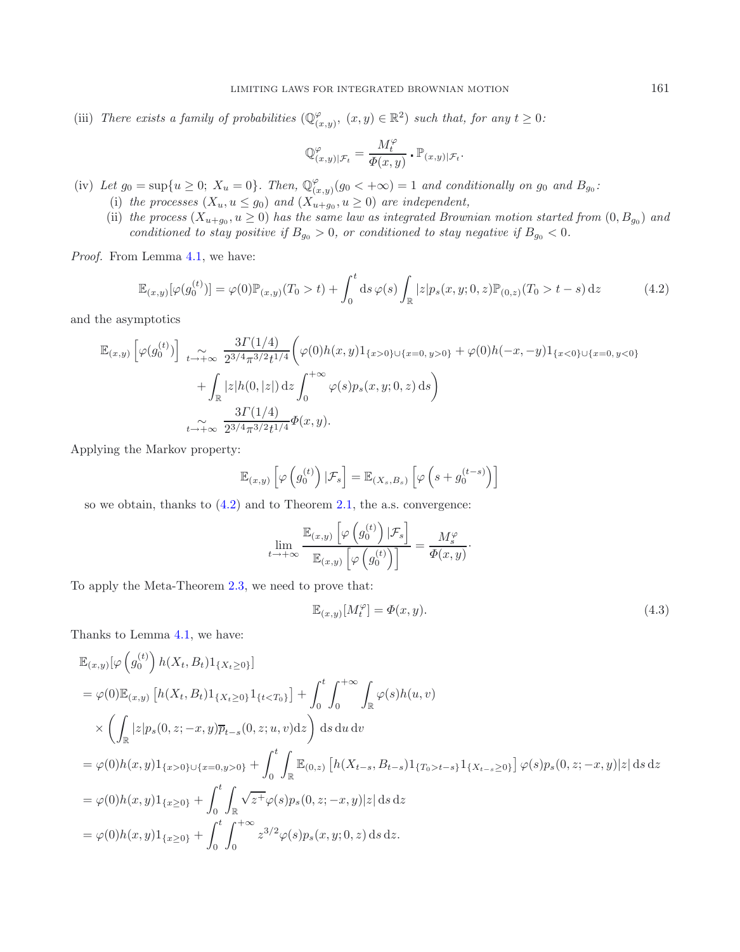<span id="page-13-0"></span>(iii) *There exists a family of probabilities*  $(\mathbb{Q}_{(x,y)}^{\varphi}, (x,y) \in \mathbb{R}^2)$  *such that, for any*  $t \geq 0$ *:* 

$$
\mathbb{Q}_{(x,y)|\mathcal{F}_t}^{\varphi} = \frac{M_t^{\varphi}}{\Phi(x,y)} \cdot \mathbb{P}_{(x,y)|\mathcal{F}_t}.
$$

- (iv) Let  $g_0 = \sup\{u \geq 0; X_u = 0\}$ . Then,  $\mathbb{Q}_{(x,y)}^{\varphi}(g_0 < +\infty) = 1$  and conditionally on  $g_0$  and  $B_{g_0}$ .<br>(i) the processes  $(X, y \leq \infty)$  and  $(X, y \geq 0)$  are independent
	- (i) the processes  $(X_u, u \leq g_0)$  and  $(X_{u+g_0}^{w,y}, u \geq 0)$  are independent,
	- (ii) the process  $(X_{u+g_0}, u \geq 0)$  has the same law as integrated Brownian motion started from  $(0, B_{g_0})$  and *conditioned to stay positive if*  $B_{g_0} > 0$ *, or conditioned to stay negative if*  $B_{g_0} < 0$ *.*

*Proof.* From Lemma [4.1,](#page-11-1) we have:

$$
\mathbb{E}_{(x,y)}[\varphi(g_0^{(t)})] = \varphi(0)\mathbb{P}_{(x,y)}(T_0 > t) + \int_0^t ds \,\varphi(s) \int_{\mathbb{R}} |z| p_s(x,y;0,z) \mathbb{P}_{(0,z)}(T_0 > t - s) \,dz \tag{4.2}
$$

and the asymptotics

$$
\mathbb{E}_{(x,y)}\left[\varphi(g_0^{(t)})\right] \underset{t \to +\infty}{\sim} \frac{3\Gamma(1/4)}{2^{3/4}\pi^{3/2}t^{1/4}} \bigg(\varphi(0)h(x,y)1_{\{x>0\}\cup\{x=0,\,y>0\}} + \varphi(0)h(-x,-y)1_{\{x<0\}\cup\{x=0,\,y<0\}} + \int_{\mathbb{R}} |z|h(0,|z|) dz \int_0^{+\infty} \varphi(s)p_s(x,y;0,z) ds\bigg) + \underset{t \to +\infty}{\sim} \frac{3\Gamma(1/4)}{2^{3/4}\pi^{3/2}t^{1/4}} \Phi(x,y).
$$

Applying the Markov property:

<span id="page-13-1"></span>
$$
\mathbb{E}_{(x,y)}\left[\varphi\left(g_0^{(t)}\right)|\mathcal{F}_s\right] = \mathbb{E}_{(X_s,B_s)}\left[\varphi\left(s+g_0^{(t-s)}\right)\right]
$$

so we obtain, thanks to  $(4.2)$  and to Theorem [2.1,](#page-2-1) the a.s. convergence:

$$
\lim_{t \to +\infty} \frac{\mathbb{E}_{(x,y)}\left[\varphi\left(g_0^{(t)}\right)|\mathcal{F}_s\right]}{\mathbb{E}_{(x,y)}\left[\varphi\left(g_0^{(t)}\right)\right]} = \frac{M_s^{\varphi}}{\Phi(x,y)}.
$$

To apply the Meta-Theorem [2.3,](#page-3-0) we need to prove that:

$$
\mathbb{E}_{(x,y)}[M_t^{\varphi}] = \Phi(x,y). \tag{4.3}
$$

Thanks to Lemma [4.1,](#page-11-1) we have:

$$
\mathbb{E}_{(x,y)}[\varphi\left(g_0^{(t)}\right)h(X_t, B_t)1_{\{X_t \ge 0\}}]\n= \varphi(0)\mathbb{E}_{(x,y)}\left[h(X_t, B_t)1_{\{X_t \ge 0\}}1_{\{t < T_0\}}\right] + \int_0^t \int_0^{+\infty} \int_{\mathbb{R}} \varphi(s)h(u, v) \n\times \left(\int_{\mathbb{R}} |z|p_s(0, z; -x, y)\overline{p}_{t-s}(0, z; u, v)dz\right) ds du dv\n= \varphi(0)h(x, y)1_{\{x > 0\} \cup \{x = 0, y > 0\}} + \int_0^t \int_{\mathbb{R}} \mathbb{E}_{(0,z)}\left[h(X_{t-s}, B_{t-s})1_{\{T_0 > t-s\}}1_{\{X_{t-s} \ge 0\}}\right] \varphi(s)p_s(0, z; -x, y)|z| ds dz\n= \varphi(0)h(x, y)1_{\{x \ge 0\}} + \int_0^t \int_{\mathbb{R}} \sqrt{z^+}\varphi(s)p_s(0, z; -x, y)|z| ds dz\n= \varphi(0)h(x, y)1_{\{x \ge 0\}} + \int_0^t \int_0^{+\infty} z^{3/2}\varphi(s)p_s(x, y; 0, z) ds dz.
$$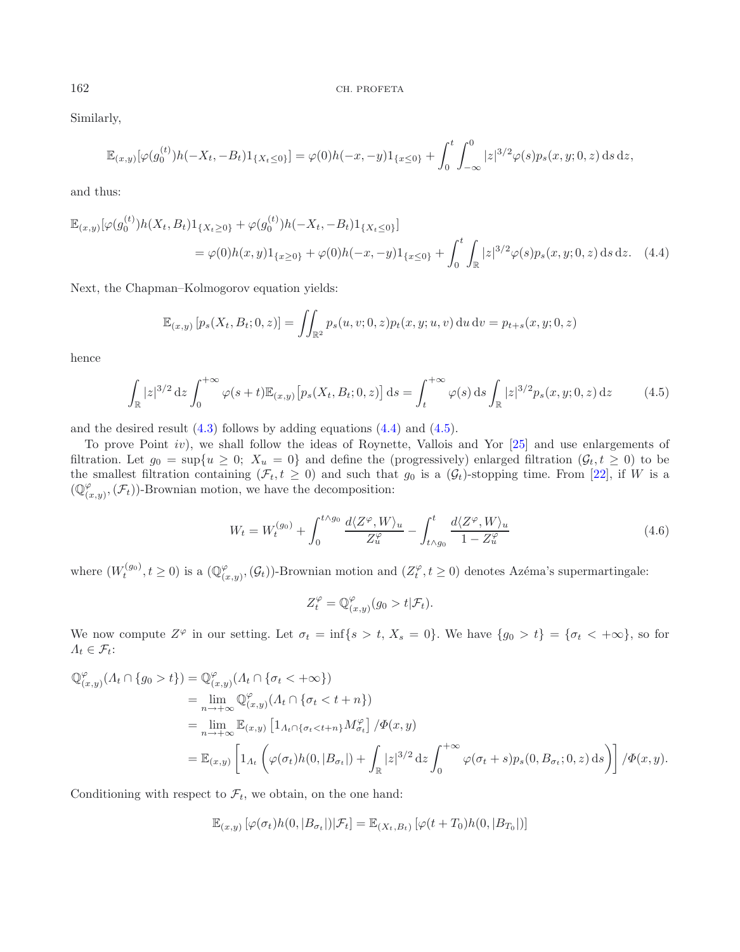Similarly,

<span id="page-14-0"></span>
$$
\mathbb{E}_{(x,y)}[\varphi(g_0^{(t)})h(-X_t, -B_t)1_{\{X_t \le 0\}}] = \varphi(0)h(-x, -y)1_{\{x \le 0\}} + \int_0^t \int_{-\infty}^0 |z|^{3/2} \varphi(s) p_s(x, y; 0, z) ds dz,
$$

<span id="page-14-1"></span>and thus:

$$
\mathbb{E}_{(x,y)}[\varphi(g_0^{(t)})h(X_t, B_t)1_{\{X_t \ge 0\}} + \varphi(g_0^{(t)})h(-X_t, -B_t)1_{\{X_t \le 0\}}]
$$
\n
$$
= \varphi(0)h(x,y)1_{\{x \ge 0\}} + \varphi(0)h(-x,-y)1_{\{x \le 0\}} + \int_0^t \int_{\mathbb{R}} |z|^{3/2} \varphi(s)p_s(x,y; 0, z) \,ds \,dz. \tag{4.4}
$$

Next, the Chapman–Kolmogorov equation yields:

<span id="page-14-2"></span>
$$
\mathbb{E}_{(x,y)} [p_s(X_t, B_t; 0, z)] = \iint_{\mathbb{R}^2} p_s(u, v; 0, z) p_t(x, y; u, v) \, du \, dv = p_{t+s}(x, y; 0, z)
$$

hence

$$
\int_{\mathbb{R}} |z|^{3/2} dz \int_0^{+\infty} \varphi(s+t) \mathbb{E}_{(x,y)} [p_s(X_t, B_t; 0, z)] ds = \int_t^{+\infty} \varphi(s) ds \int_{\mathbb{R}} |z|^{3/2} p_s(x, y; 0, z) dz \tag{4.5}
$$

and the desired result [\(4.3\)](#page-13-1) follows by adding equations [\(4.4\)](#page-14-0) and [\(4.5\)](#page-14-1).

To prove Point iv), we shall follow the ideas of Roynette, Vallois and Yor [\[25\]](#page-23-19) and use enlargements of filtration. Let  $g_0 = \sup\{u \geq 0; X_u = 0\}$  and define the (progressively) enlarged filtration  $(\mathcal{G}_t, t \geq 0)$  to be the smallest filtration containing  $(\mathcal{F}_t, t \geq 0)$  and such that  $g_0$  is a  $(\mathcal{G}_t)$ -stopping time. From [\[22\]](#page-23-20), if W is a  $(\mathbb{Q}_{(x,y)}^{\varphi},(\mathcal{F}_t))$ -Brownian motion, we have the decomposition:

$$
W_t = W_t^{(g_0)} + \int_0^{t \wedge g_0} \frac{d\langle Z^\varphi, W \rangle_u}{Z_u^\varphi} - \int_{t \wedge g_0}^t \frac{d\langle Z^\varphi, W \rangle_u}{1 - Z_u^\varphi} \tag{4.6}
$$

where  $(W_t^{(g_0)}, t \ge 0)$  is a  $(\mathbb{Q}_{(x,y)}^{\varphi}, (\mathcal{G}_t))$ -Brownian motion and  $(Z_t^{\varphi}, t \ge 0)$  denotes Azéma's supermartingale:

$$
Z_t^{\varphi} = \mathbb{Q}_{(x,y)}^{\varphi}(g_0 > t | \mathcal{F}_t).
$$

We now compute  $Z^{\varphi}$  in our setting. Let  $\sigma_t = \inf\{s > t, X_s = 0\}$ . We have  $\{g_0 > t\} = \{\sigma_t < +\infty\}$ , so for  $\Lambda_t \in \mathcal{F}_t$ :

$$
\begin{split}\n\mathbb{Q}^{\varphi}_{(x,y)}(\Lambda_t \cap \{g_0 > t\}) &= \mathbb{Q}^{\varphi}_{(x,y)}(\Lambda_t \cap \{\sigma_t < +\infty\}) \\
&= \lim_{n \to +\infty} \mathbb{Q}^{\varphi}_{(x,y)}(\Lambda_t \cap \{\sigma_t < t+n\}) \\
&= \lim_{n \to +\infty} \mathbb{E}_{(x,y)} \left[1_{\Lambda_t \cap \{\sigma_t < t+n\}} M^{\varphi}_{\sigma_t}\right] / \Phi(x,y) \\
&= \mathbb{E}_{(x,y)} \left[1_{\Lambda_t} \left(\varphi(\sigma_t) h(0, |B_{\sigma_t}|) + \int_{\mathbb{R}} |z|^{3/2} dz \int_0^{+\infty} \varphi(\sigma_t + s) p_s(0, B_{\sigma_t}; 0, z) ds\right)\right] / \Phi(x,y).\n\end{split}
$$

Conditioning with respect to  $\mathcal{F}_t$ , we obtain, on the one hand:

$$
\mathbb{E}_{(x,y)}\left[\varphi(\sigma_t)h(0,|B_{\sigma_t}|)|\mathcal{F}_t\right] = \mathbb{E}_{(X_t,B_t)}\left[\varphi(t+T_0)h(0,|B_{T_0}|)\right]
$$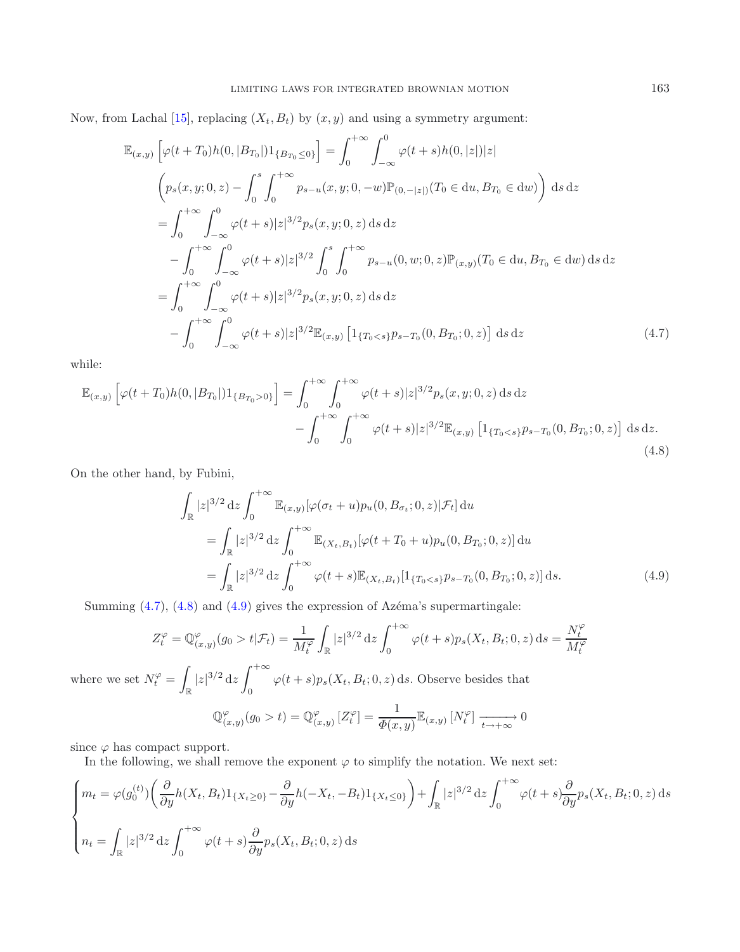Now, from Lachal [\[15\]](#page-23-7), replacing  $(X_t, B_t)$  by  $(x, y)$  and using a symmetry argument:

<span id="page-15-0"></span>
$$
\mathbb{E}_{(x,y)}\left[\varphi(t+T_0)h(0,|B_{T_0}|)1_{\{B_{T_0}\leq 0\}}\right] = \int_0^{+\infty} \int_{-\infty}^0 \varphi(t+s)h(0,|z|)|z|
$$
\n
$$
\left(p_s(x,y;0,z) - \int_0^s \int_0^{+\infty} p_{s-u}(x,y;0,-w)\mathbb{P}_{(0,-|z|)}(T_0 \in du, B_{T_0} \in du)\right) ds dz
$$
\n
$$
= \int_0^{+\infty} \int_{-\infty}^0 \varphi(t+s)|z|^{3/2}p_s(x,y;0,z) ds dz
$$
\n
$$
- \int_0^{+\infty} \int_{-\infty}^0 \varphi(t+s)|z|^{3/2} \int_0^s \int_0^{+\infty} p_{s-u}(0,w;0,z)\mathbb{P}_{(x,y)}(T_0 \in du, B_{T_0} \in du) ds dz
$$
\n
$$
= \int_0^{+\infty} \int_{-\infty}^0 \varphi(t+s)|z|^{3/2}p_s(x,y;0,z) ds dz
$$
\n
$$
- \int_0^{+\infty} \int_{-\infty}^0 \varphi(t+s)|z|^{3/2} \mathbb{E}_{(x,y)}\left[1_{\{T_0 < s\}}p_{s-T_0}(0, B_{T_0}; 0, z)\right] ds dz \tag{4.7}
$$

while:

$$
\mathbb{E}_{(x,y)}\left[\varphi(t+T_0)h(0,|B_{T_0}|)1_{\{B_{T_0}>0\}}\right] = \int_0^{+\infty} \int_0^{+\infty} \varphi(t+s)|z|^{3/2}p_s(x,y;0,z) \,ds \,dz - \int_0^{+\infty} \int_0^{+\infty} \varphi(t+s)|z|^{3/2}\mathbb{E}_{(x,y)}\left[1_{\{T_0\n(4.8)
$$

On the other hand, by Fubini,

<span id="page-15-2"></span><span id="page-15-1"></span>
$$
\int_{\mathbb{R}} |z|^{3/2} dz \int_{0}^{+\infty} \mathbb{E}_{(x,y)} [\varphi(\sigma_{t} + u) p_{u}(0, B_{\sigma_{t}}; 0, z) | \mathcal{F}_{t}] du
$$
\n
$$
= \int_{\mathbb{R}} |z|^{3/2} dz \int_{0}^{+\infty} \mathbb{E}_{(X_{t}, B_{t})} [\varphi(t + T_{0} + u) p_{u}(0, B_{T_{0}}; 0, z)] du
$$
\n
$$
= \int_{\mathbb{R}} |z|^{3/2} dz \int_{0}^{+\infty} \varphi(t + s) \mathbb{E}_{(X_{t}, B_{t})} [1_{\{T_{0} < s\}} p_{s - T_{0}}(0, B_{T_{0}}; 0, z)] ds.
$$
\n(4.9)

Summing  $(4.7)$ ,  $(4.8)$  and  $(4.9)$  gives the expression of Azéma's supermartingale:

$$
Z_t^{\varphi} = \mathbb{Q}_{(x,y)}^{\varphi}(g_0 > t | \mathcal{F}_t) = \frac{1}{M_t^{\varphi}} \int_{\mathbb{R}} |z|^{3/2} dz \int_0^{+\infty} \varphi(t+s) p_s(X_t, B_t; 0, z) ds = \frac{N_t^{\varphi}}{M_t^{\varphi}}
$$

where we set  $N_t^{\varphi} = \int$  $\int_{\mathbb{R}} |z|^{3/2} dz \int_0^{+\infty}$  $\varphi(t+s)p_s(X_t, B_t; 0, z)$  ds. Observe besides that

$$
\mathbb{Q}_{(x,y)}^{\varphi}(g_0 > t) = \mathbb{Q}_{(x,y)}^{\varphi}[Z_t^{\varphi}] = \frac{1}{\Phi(x,y)} \mathbb{E}_{(x,y)}[N_t^{\varphi}] \xrightarrow[t \to +\infty]{} 0
$$

since  $\varphi$  has compact support.

In the following, we shall remove the exponent  $\varphi$  to simplify the notation. We next set:

$$
\begin{cases}\n m_t = \varphi(g_0^{(t)}) \left( \frac{\partial}{\partial y} h(X_t, B_t) 1_{\{X_t \ge 0\}} - \frac{\partial}{\partial y} h(-X_t, -B_t) 1_{\{X_t \le 0\}} \right) + \int_{\mathbb{R}} |z|^{3/2} dz \int_0^{+\infty} \varphi(t+s) \frac{\partial}{\partial y} p_s(X_t, B_t; 0, z) ds \\
 n_t = \int_{\mathbb{R}} |z|^{3/2} dz \int_0^{+\infty} \varphi(t+s) \frac{\partial}{\partial y} p_s(X_t, B_t; 0, z) ds\n\end{cases}
$$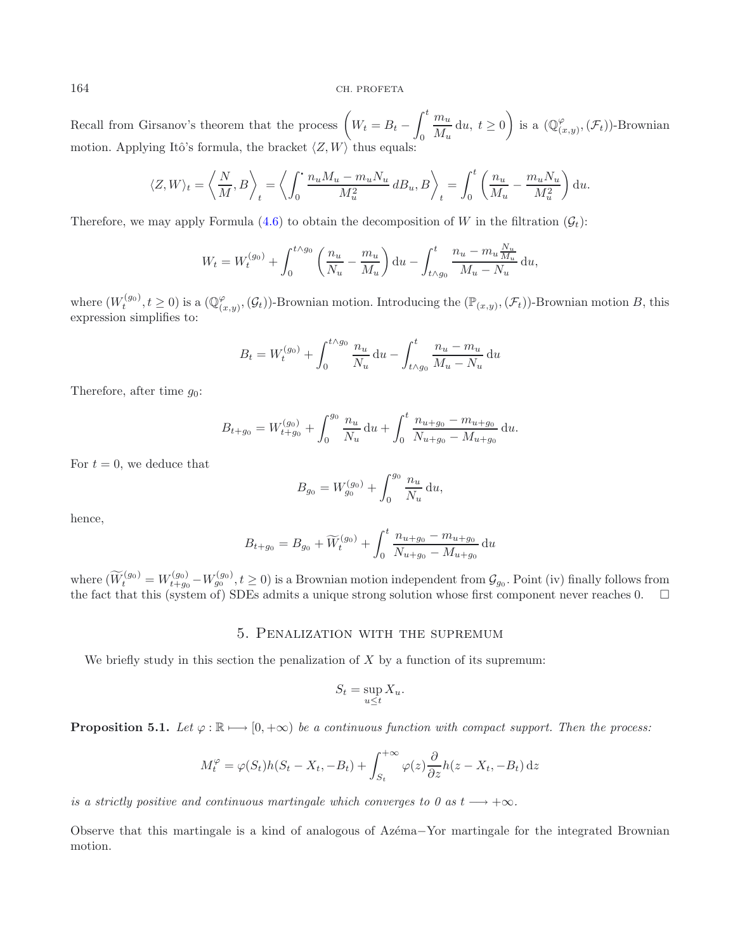Recall from Girsanov's theorem that the process  $\left(W_t = B_t - \int_0^t\right)$  $\theta$  $\frac{m_u}{\sqrt{2\pi}}$  $\frac{du}{du}$  du,  $t \geq 0$  $\setminus$ is a  $(\mathbb{Q}_{(x,y)}^{\varphi},(\mathcal{F}_t))$ -Brownian motion. Applying Itô's formula, the bracket  $\langle Z, W \rangle$  thus equals:

$$
\langle Z, W \rangle_t = \left\langle \frac{N}{M}, B \right\rangle_t = \left\langle \int_0^{\cdot} \frac{n_u M_u - m_u N_u}{M_u^2} d B_u, B \right\rangle_t = \int_0^t \left( \frac{n_u}{M_u} - \frac{m_u N_u}{M_u^2} \right) du.
$$

Therefore, we may apply Formula [\(4.6\)](#page-14-2) to obtain the decomposition of W in the filtration  $(\mathcal{G}_t)$ :

$$
W_t = W_t^{(g_0)} + \int_0^{t \wedge g_0} \left( \frac{n_u}{N_u} - \frac{m_u}{M_u} \right) du - \int_{t \wedge g_0}^t \frac{n_u - m_u \frac{N_u}{M_u}}{M_u - N_u} du,
$$

where  $(W_t^{(g_0)}, t \ge 0)$  is a  $(\mathbb{Q}_{(x,y)}^{\varphi}, (\mathcal{G}_t))$ -Brownian motion. Introducing the  $(\mathbb{P}_{(x,y)}, (\mathcal{F}_t))$ -Brownian motion B, this expression simplifies to: expression simplifies to:

$$
B_t = W_t^{(g_0)} + \int_0^{t \wedge g_0} \frac{n_u}{N_u} du - \int_{t \wedge g_0}^t \frac{n_u - m_u}{M_u - N_u} du
$$

Therefore, after time  $g_0$ :

$$
B_{t+g_0} = W_{t+g_0}^{(g_0)} + \int_0^{g_0} \frac{n_u}{N_u} du + \int_0^t \frac{n_{u+g_0} - m_{u+g_0}}{N_{u+g_0} - M_{u+g_0}} du.
$$

For  $t = 0$ , we deduce that

$$
B_{g_0} = W_{g_0}^{(g_0)} + \int_0^{g_0} \frac{n_u}{N_u} \, \mathrm{d}u,
$$

hence,

$$
B_{t+g_0} = B_{g_0} + \widetilde{W}_t^{(g_0)} + \int_0^t \frac{n_{u+g_0} - m_{u+g_0}}{N_{u+g_0} - M_{u+g_0}} du
$$

<span id="page-16-0"></span>where  $(\widetilde{W}_t^{(g_0)} = W_{t+g_0}^{(g_0)} - W_{g_0}^{(g_0)}, t \ge 0)$  is a Brownian motion independent from  $\mathcal{G}_{g_0}$ . Point (iv) finally follows from the fact that this (system of) SDEs admits a unique strong solution whose first

## 5. Penalization with the supremum

We briefly study in this section the penalization of  $X$  by a function of its supremum:

$$
S_t = \sup_{u \le t} X_u.
$$

<span id="page-16-1"></span>**Proposition 5.1.** *Let*  $\varphi : \mathbb{R} \mapsto [0, +\infty)$  *be a continuous function with compact support. Then the process:* 

$$
M_t^{\varphi} = \varphi(S_t)h(S_t - X_t, -B_t) + \int_{S_t}^{+\infty} \varphi(z) \frac{\partial}{\partial z} h(z - X_t, -B_t) dz
$$

*is a strictly positive and continuous martingale which converges to 0 as*  $t \rightarrow +\infty$ *.* 

Observe that this martingale is a kind of analogous of Az´ema−Yor martingale for the integrated Brownian motion.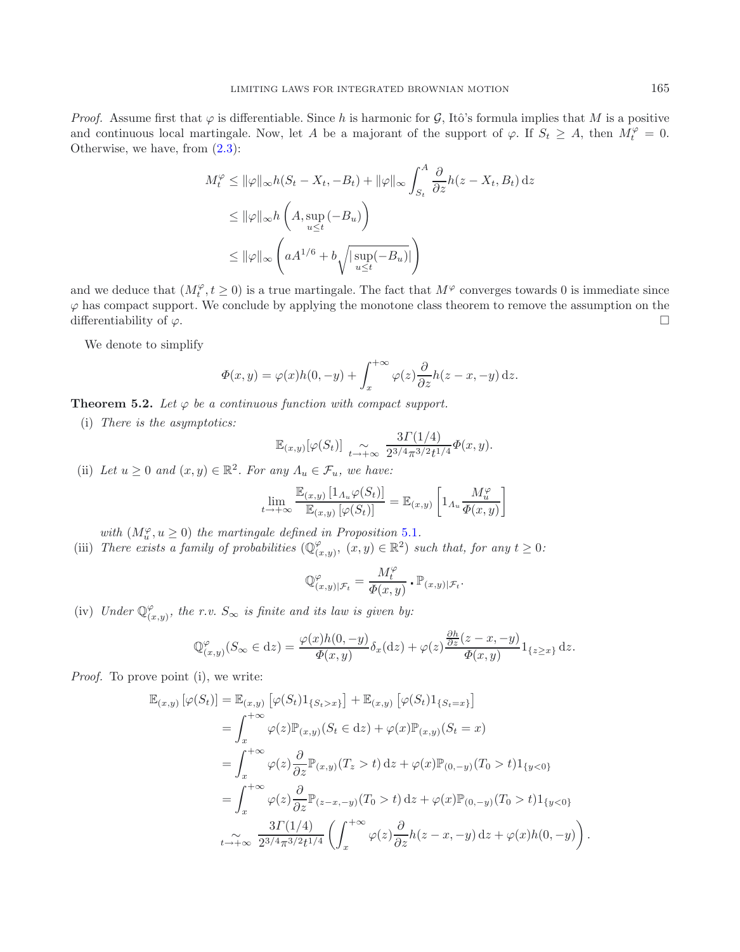*Proof.* Assume first that  $\varphi$  is differentiable. Since h is harmonic for  $\mathcal{G}$ , Itô's formula implies that M is a positive and continuous local martingale. Now, let A be a majorant of the support of  $\varphi$ . If  $S_t \geq A$ , then  $M_t^{\varphi} = 0$ .<br>Otherwise we have from (2.3). Otherwise, we have, from [\(2.3\)](#page-3-1):

$$
M_t^{\varphi} \le ||\varphi||_{\infty} h(S_t - X_t, -B_t) + ||\varphi||_{\infty} \int_{S_t}^{A} \frac{\partial}{\partial z} h(z - X_t, B_t) dz
$$
  
\n
$$
\le ||\varphi||_{\infty} h\left(A, \sup_{u \le t} (-B_u)\right)
$$
  
\n
$$
\le ||\varphi||_{\infty} \left(aA^{1/6} + b\sqrt{|\sup_{u \le t} (-B_u)|}\right)
$$

and we deduce that  $(M_t^{\varphi}, t \ge 0)$  is a true martingale. The fact that  $M^{\varphi}$  converges towards 0 is immediate since  $\varphi$  has compact support. We conclude by applying the monotone class theorem to remove the assumption on the differentiability of  $\varphi$ .

We denote to simplify

$$
\Phi(x,y) = \varphi(x)h(0,-y) + \int_x^{+\infty} \varphi(z)\frac{\partial}{\partial z}h(z-x,-y) dz.
$$

**Theorem 5.2.** Let  $\varphi$  be a continuous function with compact support.

(i) *There is the asymptotics:*

$$
\mathbb{E}_{(x,y)}[\varphi(S_t)] \underset{t \to +\infty}{\sim} \frac{3\Gamma(1/4)}{2^{3/4}\pi^{3/2}t^{1/4}}\Phi(x,y).
$$

(ii) Let  $u \geq 0$  and  $(x, y) \in \mathbb{R}^2$ . For any  $\Lambda_u \in \mathcal{F}_u$ , we have:

$$
\lim_{t \to +\infty} \frac{\mathbb{E}_{(x,y)} \left[ 1_{\Lambda_u} \varphi(S_t) \right]}{\mathbb{E}_{(x,y)} \left[ \varphi(S_t) \right]} = \mathbb{E}_{(x,y)} \left[ 1_{\Lambda_u} \frac{M_u^{\varphi}}{\Phi(x,y)} \right]
$$

*with*  $(M_u^{\varphi}, u \ge 0)$  *the martingale defined in Proposition* [5.1](#page-16-1)*.*<br>There exists a family of probabilities  $(\mathbb{Q}^{\varphi}, \mathbb{Z}) \in \mathbb{R}^2$ 

(iii) *There exists a family of probabilities*  $(\mathbb{Q}_{(x,y)}^{\varphi}, (x,y) \in \mathbb{R}^2)$  *such that, for any*  $t \geq 0$ *:* 

$$
\mathbb{Q}_{(x,y)|\mathcal{F}_t}^{\varphi} = \frac{M_t^{\varphi}}{\varPhi(x,y)} \cdot \mathbb{P}_{(x,y)|\mathcal{F}_t}.
$$

(iv) *Under*  $\mathbb{Q}_{(x,y)}^{\varphi}$ *, the r.v.*  $S_{\infty}$  *is finite and its law is given by:* 

$$
\mathbb{Q}_{(x,y)}^{\varphi}(S_{\infty} \in dz) = \frac{\varphi(x)h(0,-y)}{\Phi(x,y)} \delta_x(\mathrm{d}z) + \varphi(z) \frac{\frac{\partial h}{\partial z}(z-x,-y)}{\Phi(x,y)} 1_{\{z \ge x\}} \mathrm{d}z.
$$

*Proof.* To prove point (i), we write:

$$
\mathbb{E}_{(x,y)}\left[\varphi(S_t)\right] = \mathbb{E}_{(x,y)}\left[\varphi(S_t)1_{\{S_t > x\}}\right] + \mathbb{E}_{(x,y)}\left[\varphi(S_t)1_{\{S_t = x\}}\right]
$$
\n
$$
= \int_x^{+\infty} \varphi(z)\mathbb{P}_{(x,y)}(S_t \in dz) + \varphi(x)\mathbb{P}_{(x,y)}(S_t = x)
$$
\n
$$
= \int_x^{+\infty} \varphi(z)\frac{\partial}{\partial z}\mathbb{P}_{(x,y)}(T_z > t) dz + \varphi(x)\mathbb{P}_{(0,-y)}(T_0 > t)1_{\{y < 0\}}
$$
\n
$$
= \int_x^{+\infty} \varphi(z)\frac{\partial}{\partial z}\mathbb{P}_{(z-x,-y)}(T_0 > t) dz + \varphi(x)\mathbb{P}_{(0,-y)}(T_0 > t)1_{\{y < 0\}}
$$
\n
$$
\lim_{t \to +\infty} \frac{3\Gamma(1/4)}{2^{3/4}\pi^{3/2}t^{1/4}} \left(\int_x^{+\infty} \varphi(z)\frac{\partial}{\partial z}h(z-x,-y) dz + \varphi(x)h(0,-y)\right).
$$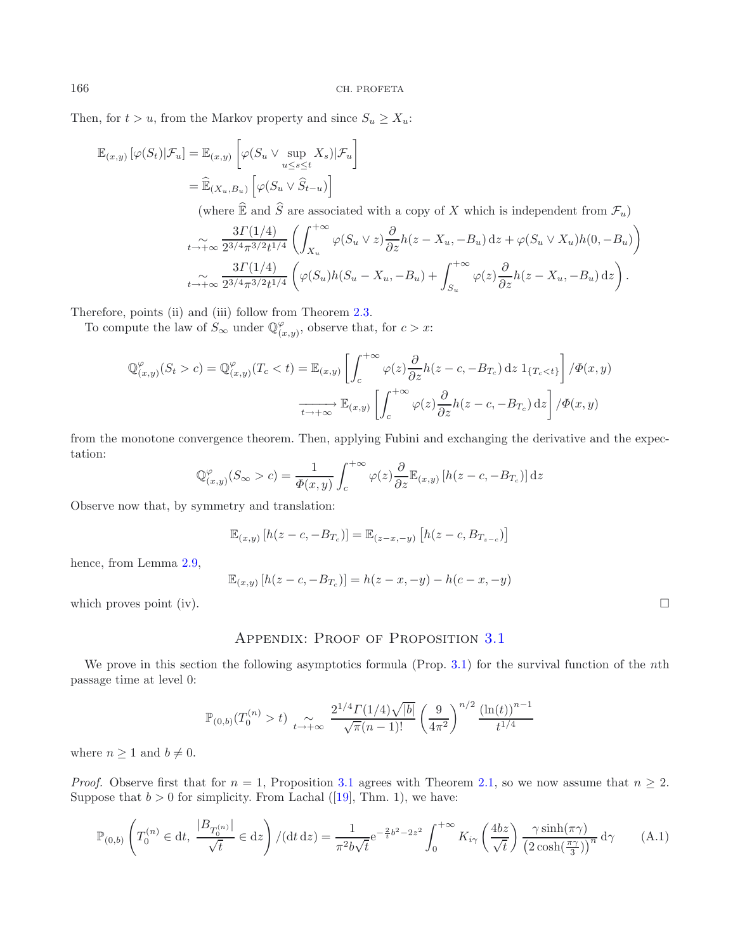Then, for  $t > u$ , from the Markov property and since  $S_u \geq X_u$ :

$$
\mathbb{E}_{(x,y)}\left[\varphi(S_t)|\mathcal{F}_u\right] = \mathbb{E}_{(x,y)}\left[\varphi(S_u \vee \sup_{u \le s \le t} X_s)|\mathcal{F}_u\right]
$$

$$
= \widehat{\mathbb{E}}_{(X_u, B_u)}\left[\varphi(S_u \vee \widehat{S}_{t-u})\right]
$$

(where  $\widehat{\mathbb{E}}$  and  $\widehat{S}$  are associated with a copy of X which is independent from  $\mathcal{F}_u$ )

$$
\sum_{t \to +\infty} \frac{3\Gamma(1/4)}{2^{3/4}\pi^{3/2}t^{1/4}} \left( \int_{X_u}^{+\infty} \varphi(S_u \vee z) \frac{\partial}{\partial z} h(z - X_u, -B_u) dz + \varphi(S_u \vee X_u)h(0, -B_u) \right)
$$
  

$$
\sum_{t \to +\infty} \frac{3\Gamma(1/4)}{2^{3/4}\pi^{3/2}t^{1/4}} \left( \varphi(S_u)h(S_u - X_u, -B_u) + \int_{S_u}^{+\infty} \varphi(z) \frac{\partial}{\partial z} h(z - X_u, -B_u) dz \right).
$$

Therefore, points (ii) and (iii) follow from Theorem [2.3.](#page-3-0)

To compute the law of  $S_{\infty}$  under  $\mathbb{Q}_{(x,y)}^{\varphi}$ , observe that, for  $c > x$ :

$$
\mathbb{Q}_{(x,y)}^{\varphi}(S_t > c) = \mathbb{Q}_{(x,y)}^{\varphi}(T_c < t) = \mathbb{E}_{(x,y)} \left[ \int_c^{+\infty} \varphi(z) \frac{\partial}{\partial z} h(z - c, -B_{T_c}) \, dz \, 1_{\{T_c < t\}} \right] / \Phi(x, y)
$$

$$
\xrightarrow[t \to +\infty]{} \mathbb{E}_{(x,y)} \left[ \int_c^{+\infty} \varphi(z) \frac{\partial}{\partial z} h(z - c, -B_{T_c}) \, dz \right] / \Phi(x, y)
$$

from the monotone convergence theorem. Then, applying Fubini and exchanging the derivative and the expectation:

$$
\mathbb{Q}_{(x,y)}^{\varphi}(S_{\infty} > c) = \frac{1}{\Phi(x,y)} \int_{c}^{+\infty} \varphi(z) \frac{\partial}{\partial z} \mathbb{E}_{(x,y)} \left[ h(z - c, -B_{T_c}) \right] dz
$$

Observe now that, by symmetry and translation:

$$
\mathbb{E}_{(x,y)} [h(z - c, -B_{T_c})] = \mathbb{E}_{(z-x, -y)} [h(z - c, B_{T_{z-c}})]
$$

hence, from Lemma [2.9,](#page-6-1)

$$
\mathbb{E}_{(x,y)}[h(z-c, -B_{T_c})] = h(z-x, -y) - h(c-x, -y)
$$

<span id="page-18-0"></span>which proves point (iv).  $\Box$ 

## <span id="page-18-1"></span>APPENDIX: PROOF OF PROPOSITION [3.1](#page-10-0)

We prove in this section the following asymptotics formula (Prop. [3.1\)](#page-10-0) for the survival function of the nth passage time at level 0:

$$
\mathbb{P}_{(0,b)}(T_0^{(n)} > t) \underset{t \to +\infty}{\sim} \frac{2^{1/4} \Gamma(1/4) \sqrt{|b|}}{\sqrt{\pi}(n-1)!} \left(\frac{9}{4\pi^2}\right)^{n/2} \frac{\left(\ln(t)\right)^{n-1}}{t^{1/4}}
$$

where  $n \geq 1$  and  $b \neq 0$ .

*Proof.* Observe first that for  $n = 1$ , Proposition [3.1](#page-10-0) agrees with Theorem [2.1,](#page-2-1) so we now assume that  $n \geq 2$ . Suppose that  $b > 0$  for simplicity. From Lachal ([\[19\]](#page-23-9), Thm. 1), we have:

$$
\mathbb{P}_{(0,b)}\left(T_0^{(n)} \in dt, \ \frac{|B_{T_0^{(n)}}|}{\sqrt{t}} \in dz\right) / (dt \, dz) = \frac{1}{\pi^2 b \sqrt{t}} e^{-\frac{2}{t}b^2 - 2z^2} \int_0^{+\infty} K_{i\gamma} \left(\frac{4bz}{\sqrt{t}}\right) \frac{\gamma \sinh(\pi \gamma)}{\left(2\cosh(\frac{\pi \gamma}{3})\right)^n} d\gamma \tag{A.1}
$$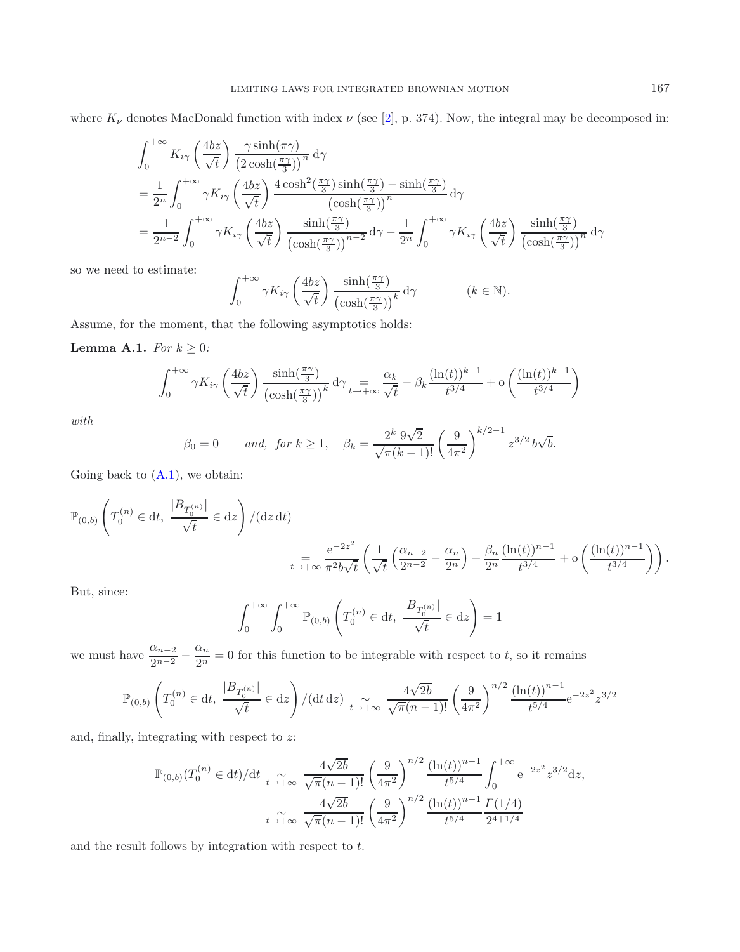where  $K_{\nu}$  denotes MacDonald function with index  $\nu$  (see [\[2\]](#page-22-6), p. 374). Now, the integral may be decomposed in:

$$
\int_{0}^{+\infty} K_{i\gamma} \left(\frac{4bz}{\sqrt{t}}\right) \frac{\gamma \sinh(\pi \gamma)}{\left(2 \cosh(\frac{\pi \gamma}{3})\right)^n} d\gamma
$$
\n
$$
= \frac{1}{2^n} \int_{0}^{+\infty} \gamma K_{i\gamma} \left(\frac{4bz}{\sqrt{t}}\right) \frac{4 \cosh^2(\frac{\pi \gamma}{3}) \sinh(\frac{\pi \gamma}{3}) - \sinh(\frac{\pi \gamma}{3})}{\left(\cosh(\frac{\pi \gamma}{3})\right)^n} d\gamma
$$
\n
$$
= \frac{1}{2^{n-2}} \int_{0}^{+\infty} \gamma K_{i\gamma} \left(\frac{4bz}{\sqrt{t}}\right) \frac{\sinh(\frac{\pi \gamma}{3})}{\left(\cosh(\frac{\pi \gamma}{3})\right)^{n-2}} d\gamma - \frac{1}{2^n} \int_{0}^{+\infty} \gamma K_{i\gamma} \left(\frac{4bz}{\sqrt{t}}\right) \frac{\sinh(\frac{\pi \gamma}{3})}{\left(\cosh(\frac{\pi \gamma}{3})\right)^n} d\gamma
$$

so we need to estimate:

$$
\int_0^{+\infty} \gamma K_{i\gamma} \left(\frac{4bz}{\sqrt{t}}\right) \frac{\sinh(\frac{\pi \gamma}{3})}{\left(\cosh(\frac{\pi \gamma}{3})\right)^k} d\gamma \qquad (k \in \mathbb{N}).
$$

Assume, for the moment, that the following asymptotics holds:

**Lemma A.1.** *For*  $k \geq 0$ *:* 

$$
\int_0^{+\infty} \gamma K_{i\gamma} \left(\frac{4bz}{\sqrt{t}}\right) \frac{\sinh(\frac{\pi\gamma}{3})}{\left(\cosh(\frac{\pi\gamma}{3})\right)^k} d\gamma \Big|_{t\to+\infty} = \frac{\alpha_k}{\sqrt{t}} - \beta_k \frac{(\ln(t))^{k-1}}{t^{3/4}} + o\left(\frac{(\ln(t))^{k-1}}{t^{3/4}}\right)
$$

*with*

$$
\beta_0 = 0
$$
 and, for  $k \ge 1$ ,  $\beta_k = \frac{2^k 9\sqrt{2}}{\sqrt{\pi}(k-1)!} \left(\frac{9}{4\pi^2}\right)^{k/2-1} z^{3/2} b\sqrt{b}$ .

Going back to  $(A.1)$ , we obtain:

$$
\mathbb{P}_{(0,b)}\left(T_0^{(n)} \in dt, \frac{|B_{T_0^{(n)}}|}{\sqrt{t}} \in dz\right) / (dz dt)
$$
  

$$
= \frac{e^{-2z^2}}{\pi^2 b \sqrt{t}} \left(\frac{1}{\sqrt{t}} \left(\frac{\alpha_{n-2}}{2^{n-2}} - \frac{\alpha_n}{2^n}\right) + \frac{\beta_n}{2^n} \frac{(\ln(t))^{n-1}}{t^{3/4}} + o\left(\frac{(\ln(t))^{n-1}}{t^{3/4}}\right)\right).
$$

But, since:

$$
\int_0^{+\infty} \int_0^{+\infty} \mathbb{P}_{(0,b)} \left( T_0^{(n)} \in dt, \ \frac{|B_{T_0^{(n)}}|}{\sqrt{t}} \in dz \right) = 1
$$

we must have  $\frac{\alpha_{n-2}}{2^{n-2}} - \frac{\alpha_n}{2^n} = 0$  for this function to be integrable with respect to t, so it remains

$$
\mathbb{P}_{(0,b)}\left(T_0^{(n)} \in \mathrm{d} t,\; \frac{|B_{T_0^{(n)}}|}{\sqrt{t}} \in \mathrm{d} z\right) / (\mathrm{d} t \, \mathrm{d} z) \; \mathop{\sim}\limits_{t \to +\infty} \; \frac{4\sqrt{2b}}{\sqrt{\pi} (n-1)!} \left(\frac{9}{4\pi^2}\right)^{n/2} \frac{\left(\ln(t)\right)^{n-1}}{t^{5/4}} \mathrm{e}^{-2 z^2} z^{3/2}
$$

and, finally, integrating with respect to z:

$$
\mathbb{P}_{(0,b)}(T_0^{(n)} \in dt)/dt \xrightarrow[t \to +\infty]{} \frac{4\sqrt{2b}}{\sqrt{\pi}(n-1)!} \left(\frac{9}{4\pi^2}\right)^{n/2} \frac{(\ln(t))^{n-1}}{t^{5/4}} \int_0^{+\infty} e^{-2z^2} z^{3/2} dz,
$$

$$
\xrightarrow[t \to +\infty]{} \frac{4\sqrt{2b}}{\sqrt{\pi}(n-1)!} \left(\frac{9}{4\pi^2}\right)^{n/2} \frac{(\ln(t))^{n-1}}{t^{5/4}} \frac{\Gamma(1/4)}{2^{4+1/4}}
$$

and the result follows by integration with respect to t.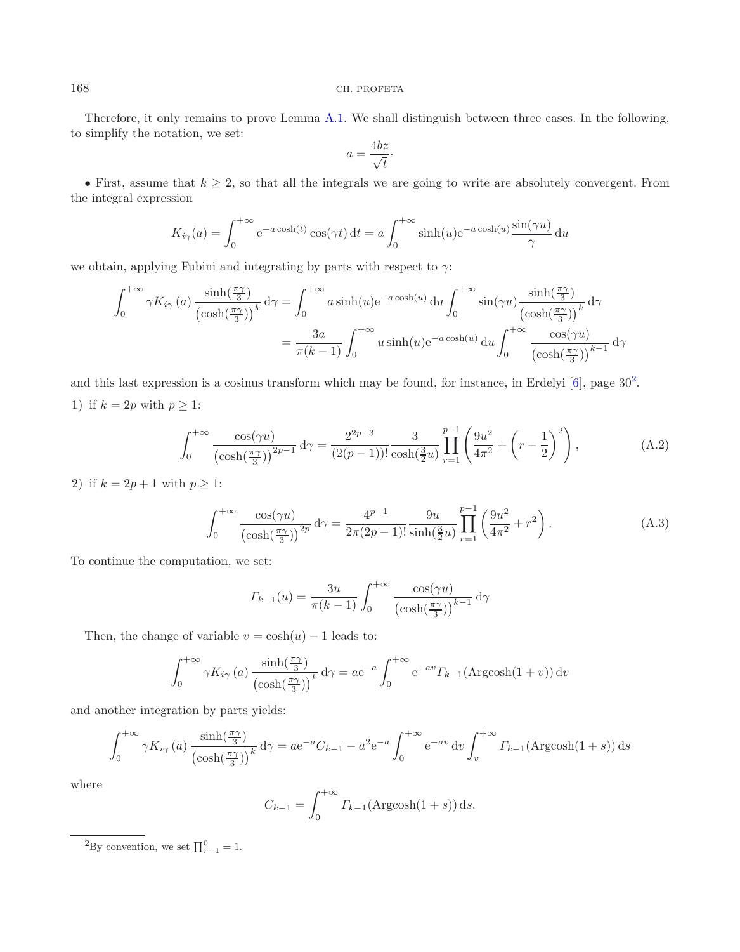Therefore, it only remains to prove Lemma [A.1.](#page-16-1) We shall distinguish between three cases. In the following, to simplify the notation, we set:

$$
a = \frac{4bz}{\sqrt{t}}.
$$

• First, assume that  $k \geq 2$ , so that all the integrals we are going to write are absolutely convergent. From the integral expression

<span id="page-20-1"></span>
$$
K_{i\gamma}(a) = \int_0^{+\infty} e^{-a\cosh(t)} \cos(\gamma t) dt = a \int_0^{+\infty} \sinh(u) e^{-a\cosh(u)} \frac{\sin(\gamma u)}{\gamma} du
$$

we obtain, applying Fubini and integrating by parts with respect to  $\gamma$ :

<span id="page-20-2"></span>
$$
\int_0^{+\infty} \gamma K_{i\gamma}(a) \frac{\sinh(\frac{\pi \gamma}{3})}{(\cosh(\frac{\pi \gamma}{3}))^k} d\gamma = \int_0^{+\infty} a \sinh(u) e^{-a \cosh(u)} du \int_0^{+\infty} \sin(\gamma u) \frac{\sinh(\frac{\pi \gamma}{3})}{(\cosh(\frac{\pi \gamma}{3}))^k} d\gamma
$$

$$
= \frac{3a}{\pi(k-1)} \int_0^{+\infty} u \sinh(u) e^{-a \cosh(u)} du \int_0^{+\infty} \frac{\cos(\gamma u)}{(\cosh(\frac{\pi \gamma}{3}))^{k-1}} d\gamma
$$

and this last expression is a cosinus transform which may be found, for instance, in Erdelyi  $[6]$  $[6]$ , page  $30<sup>2</sup>$  $30<sup>2</sup>$  $30<sup>2</sup>$ . 1) if  $k = 2p$  with  $p \geq 1$ :

$$
\int_0^{+\infty} \frac{\cos(\gamma u)}{\left(\cosh(\frac{\pi \gamma}{3})\right)^{2p-1}} d\gamma = \frac{2^{2p-3}}{(2(p-1))!} \frac{3}{\cosh(\frac{3}{2}u)} \prod_{r=1}^{p-1} \left(\frac{9u^2}{4\pi^2} + \left(r - \frac{1}{2}\right)^2\right),\tag{A.2}
$$

2) if  $k = 2p + 1$  with  $p \geq 1$ :

$$
\int_0^{+\infty} \frac{\cos(\gamma u)}{\left(\cosh(\frac{\pi \gamma}{3})\right)^{2p}} d\gamma = \frac{4^{p-1}}{2\pi (2p-1)!} \frac{9u}{\sinh(\frac{3}{2}u)} \prod_{r=1}^{p-1} \left(\frac{9u^2}{4\pi^2} + r^2\right).
$$
 (A.3)

To continue the computation, we set:

$$
\Gamma_{k-1}(u) = \frac{3u}{\pi(k-1)} \int_0^{+\infty} \frac{\cos(\gamma u)}{\left(\cosh(\frac{\pi \gamma}{3})\right)^{k-1}} d\gamma
$$

Then, the change of variable  $v = \cosh(u) - 1$  leads to:

$$
\int_0^{+\infty} \gamma K_{i\gamma}(a) \frac{\sinh(\frac{\pi \gamma}{3})}{\left(\cosh(\frac{\pi \gamma}{3})\right)^k} d\gamma = a e^{-a} \int_0^{+\infty} e^{-av} \Gamma_{k-1}(\text{Argcosh}(1+v)) dv
$$

<span id="page-20-0"></span>and another integration by parts yields:

$$
\int_0^{+\infty} \gamma K_{i\gamma}(a) \frac{\sinh(\frac{\pi \gamma}{3})}{\left(\cosh(\frac{\pi \gamma}{3})\right)^k} d\gamma = a e^{-a} C_{k-1} - a^2 e^{-a} \int_0^{+\infty} e^{-av} dv \int_v^{+\infty} \Gamma_{k-1}(\text{Argcosh}(1+s)) ds
$$

where

$$
C_{k-1} = \int_0^{+\infty} \Gamma_{k-1}(\text{Argcosh}(1+s)) \, \text{d}s.
$$

<sup>2</sup>By convention, we set  $\prod_{r=1}^{0}$  = 1.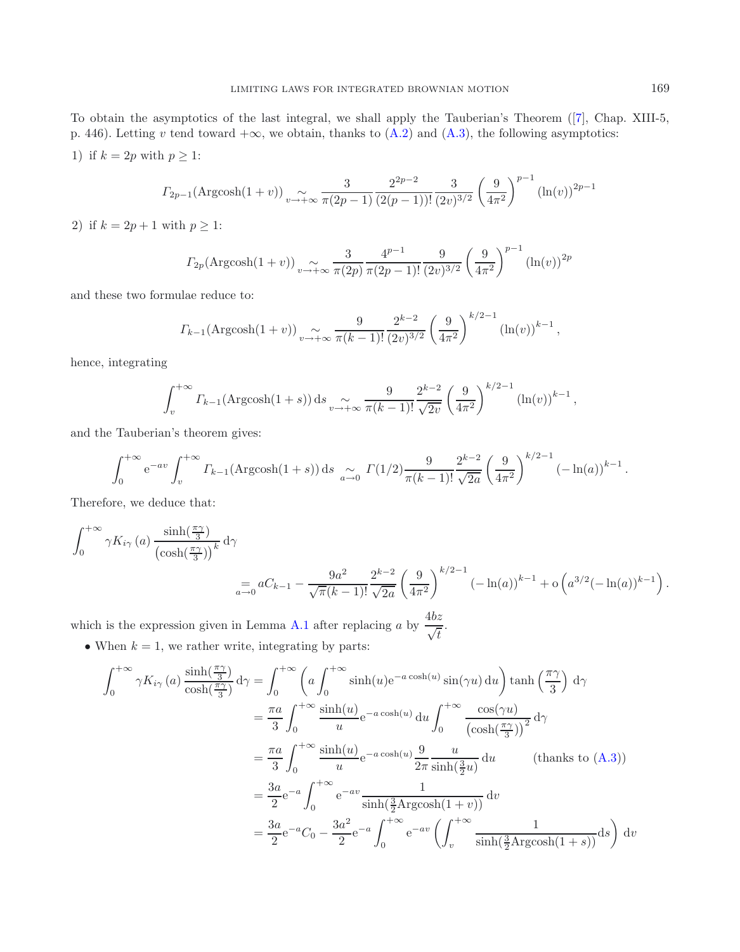To obtain the asymptotics of the last integral, we shall apply the Tauberian's Theorem ([\[7](#page-22-7)], Chap. XIII-5, p. 446). Letting v tend toward  $+\infty$ , we obtain, thanks to  $(A.2)$  and  $(A.3)$ , the following asymptotics: 1) if  $k = 2p$  with  $p \geq 1$ :

$$
\Gamma_{2p-1}(\text{Argcosh}(1+v)) \underset{v \to +\infty}{\sim} \frac{3}{\pi(2p-1)} \frac{2^{2p-2}}{(2(p-1))!} \frac{3}{(2v)^{3/2}} \left(\frac{9}{4\pi^2}\right)^{p-1} (\ln(v))^{2p-1}
$$

2) if  $k = 2p + 1$  with  $p \ge 1$ :

$$
\Gamma_{2p}(\text{Argcosh}(1+v)) \underset{v \to +\infty}{\sim} \frac{3}{\pi(2p)} \frac{4^{p-1}}{\pi(2p-1)!} \frac{9}{(2v)^{3/2}} \left(\frac{9}{4\pi^2}\right)^{p-1} (\ln(v))^{2p}
$$

and these two formulae reduce to:

$$
\Gamma_{k-1}(\text{Argcosh}(1+v)) \underset{v \to +\infty}{\sim} \frac{9}{\pi(k-1)!} \frac{2^{k-2}}{(2v)^{3/2}} \left(\frac{9}{4\pi^2}\right)^{k/2-1} (\ln(v))^{k-1},
$$

hence, integrating

$$
\int_v^{+\infty} \Gamma_{k-1}(\text{Argcosh}(1+s)) \,ds \underset{v \to +\infty}{\sim} \frac{9}{\pi(k-1)!} \frac{2^{k-2}}{\sqrt{2v}} \left(\frac{9}{4\pi^2}\right)^{k/2-1} \left(\ln(v)\right)^{k-1},
$$

and the Tauberian's theorem gives:

$$
\int_0^{+\infty} e^{-av} \int_v^{+\infty} \Gamma_{k-1}(\text{Argcosh}(1+s)) ds \underset{a \to 0}{\sim} \Gamma(1/2) \frac{9}{\pi(k-1)!} \frac{2^{k-2}}{\sqrt{2a}} \left(\frac{9}{4\pi^2}\right)^{k/2-1} \left(-\ln(a)\right)^{k-1}.
$$

Therefore, we deduce that:

$$
\int_0^{+\infty} \gamma K_{i\gamma}(a) \frac{\sinh(\frac{\pi \gamma}{3})}{(\cosh(\frac{\pi \gamma}{3}))^k} d\gamma
$$
  
=  $aC_{k-1} - \frac{9a^2}{\sqrt{\pi}(k-1)!} \frac{2^{k-2}}{\sqrt{2a}} \left(\frac{9}{4\pi^2}\right)^{k/2-1} (-\ln(a))^{k-1} + o\left(a^{3/2}(-\ln(a))^{k-1}\right).$ 

which is the expression given in Lemma [A.1](#page-16-1) after replacing a by  $\frac{4bz}{\sqrt{t}}$ .

 $\bullet$  When  $k=1,$  we rather write, integrating by parts:

$$
\int_0^{+\infty} \gamma K_{i\gamma} (a) \frac{\sinh(\frac{\pi \gamma}{3})}{\cosh(\frac{\pi \gamma}{3})} d\gamma = \int_0^{+\infty} \left( a \int_0^{+\infty} \sinh(u) e^{-a \cosh(u)} \sin(\gamma u) du \right) \tanh\left(\frac{\pi \gamma}{3}\right) d\gamma
$$
  
\n
$$
= \frac{\pi a}{3} \int_0^{+\infty} \frac{\sinh(u)}{u} e^{-a \cosh(u)} du \int_0^{+\infty} \frac{\cos(\gamma u)}{(\cosh(\frac{\pi \gamma}{3}))^2} d\gamma
$$
  
\n
$$
= \frac{\pi a}{3} \int_0^{+\infty} \frac{\sinh(u)}{u} e^{-a \cosh(u)} \frac{9}{2\pi} \frac{u}{\sinh(\frac{3}{2}u)} du \qquad \text{(thanks to (A.3))}
$$
  
\n
$$
= \frac{3a}{2} e^{-a} \int_0^{+\infty} e^{-av} \frac{1}{\sinh(\frac{3}{2} \text{Argcosh}(1+v))} dv
$$
  
\n
$$
= \frac{3a}{2} e^{-a} C_0 - \frac{3a^2}{2} e^{-a} \int_0^{+\infty} e^{-av} \left( \int_v^{+\infty} \frac{1}{\sinh(\frac{3}{2} \text{Argcosh}(1+s))} ds \right) dv
$$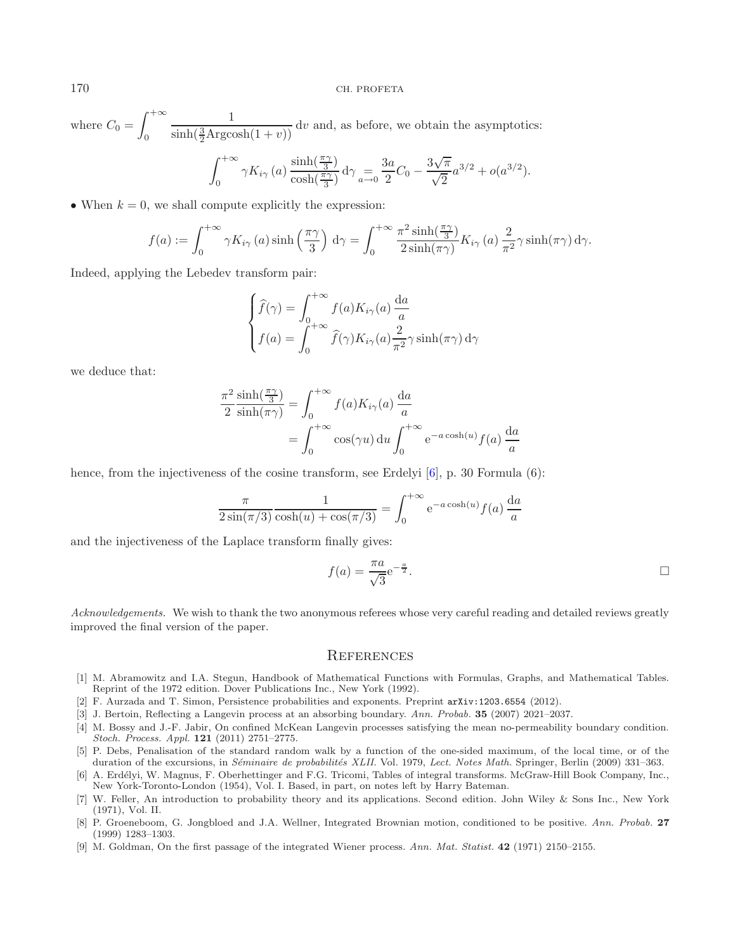where  $C_0 =$  $\int^{+\infty}$  $\theta$ 1  $\frac{1}{\sinh(\frac{3}{2} \text{Argcosh}(1 + v))}$  dv and, as before, we obtain the asymptotics:

$$
\int_0^{+\infty} \gamma K_{i\gamma}(a) \frac{\sinh(\frac{\pi \gamma}{3})}{\cosh(\frac{\pi \gamma}{3})} d\gamma = \frac{3a}{2} C_0 - \frac{3\sqrt{\pi}}{\sqrt{2}} a^{3/2} + o(a^{3/2}).
$$

• When  $k = 0$ , we shall compute explicitly the expression:

$$
f(a) := \int_0^{+\infty} \gamma K_{i\gamma}(a) \sinh\left(\frac{\pi \gamma}{3}\right) d\gamma = \int_0^{+\infty} \frac{\pi^2 \sinh\left(\frac{\pi \gamma}{3}\right)}{2 \sinh(\pi \gamma)} K_{i\gamma}(a) \frac{2}{\pi^2} \gamma \sinh(\pi \gamma) d\gamma.
$$

Indeed, applying the Lebedev transform pair:

$$
\begin{cases}\n\widehat{f}(\gamma) = \int_0^{+\infty} f(a) K_{i\gamma}(a) \frac{da}{a} \\
f(a) = \int_0^{+\infty} \widehat{f}(\gamma) K_{i\gamma}(a) \frac{2}{\pi^2} \gamma \sinh(\pi \gamma) d\gamma\n\end{cases}
$$

we deduce that:

$$
\frac{\pi^2}{2} \frac{\sinh(\frac{\pi \gamma}{3})}{\sinh(\pi \gamma)} = \int_0^{+\infty} f(a) K_{i\gamma}(a) \frac{da}{a}
$$

$$
= \int_0^{+\infty} \cos(\gamma u) du \int_0^{+\infty} e^{-a \cosh(u)} f(a) \frac{da}{a}
$$

hence, from the injectiveness of the cosine transform, see Erdelyi [\[6](#page-22-8)], p. 30 Formula (6):

$$
\frac{\pi}{2\sin(\pi/3)}\frac{1}{\cosh(u) + \cos(\pi/3)} = \int_0^{+\infty} e^{-a\cosh(u)}f(a)\frac{da}{a}
$$

and the injectiveness of the Laplace transform finally gives:

$$
f(a) = \frac{\pi a}{\sqrt{3}} e^{-\frac{a}{2}}.
$$

*Acknowledgements.* We wish to thank the two anonymous referees whose very careful reading and detailed reviews greatly improved the final version of the paper.

### **REFERENCES**

- <span id="page-22-5"></span>[1] M. Abramowitz and I.A. Stegun, Handbook of Mathematical Functions with Formulas, Graphs, and Mathematical Tables. Reprint of the 1972 edition. Dover Publications Inc., New York (1992).
- <span id="page-22-6"></span>[2] F. Aurzada and T. Simon, Persistence probabilities and exponents. Preprint arXiv:1203.6554 (2012).
- <span id="page-22-2"></span>[3] J. Bertoin, Reflecting a Langevin process at an absorbing boundary. *Ann. Probab.* **35** (2007) 2021–2037.
- <span id="page-22-3"></span>[4] M. Bossy and J.-F. Jabir, On confined McKean Langevin processes satisfying the mean no-permeability boundary condition. *Stoch. Process. Appl.* **121** (2011) 2751–2775.
- <span id="page-22-0"></span>[5] P. Debs, Penalisation of the standard random walk by a function of the one-sided maximum, of the local time, or of the duration of the excursions, in *Séminaire de probabilités XLII*. Vol. 1979, *Lect. Notes Math.* Springer, Berlin (2009) 331–363.
- <span id="page-22-8"></span>[6] A. Erdélyi, W. Magnus, F. Oberhettinger and F.G. Tricomi, Tables of integral transforms. McGraw-Hill Book Company, Inc., New York-Toronto-London (1954), Vol. I. Based, in part, on notes left by Harry Bateman.
- <span id="page-22-7"></span>[7] W. Feller, An introduction to probability theory and its applications. Second edition. John Wiley & Sons Inc., New York (1971), Vol. II.
- <span id="page-22-4"></span>[8] P. Groeneboom, G. Jongbloed and J.A. Wellner, Integrated Brownian motion, conditioned to be positive. *Ann. Probab.* **27** (1999) 1283–1303.
- <span id="page-22-1"></span>[9] M. Goldman, On the first passage of the integrated Wiener process. *Ann. Mat. Statist.* **42** (1971) 2150–2155.